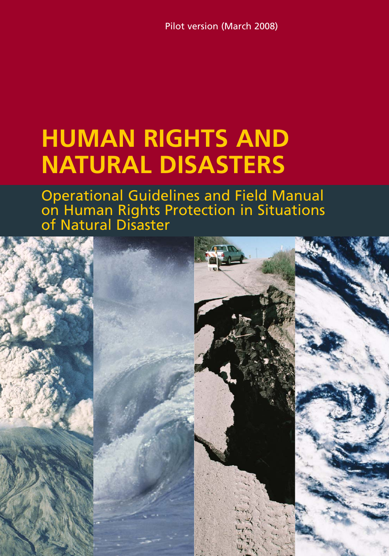Pilot version (March 2008)

# **HUMAN RIGHTS AND NATURAL DISASTERS**

Operational Guidelines and Field Manual on Human Rights Protection in Situations of Natural Disaster

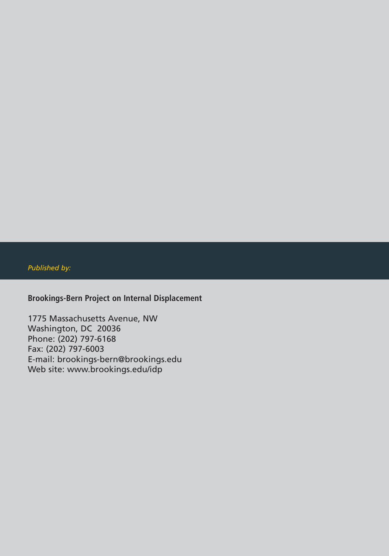*Published by:*

**Brookings-Bern Project on Internal Displacement**

1775 Massachusetts Avenue, NW Washington, DC 20036 Phone: (202) 797-6168 Fax: (202) 797-6003 E-mail: brookings-bern@brookings.edu Web site: www.brookings.edu/idp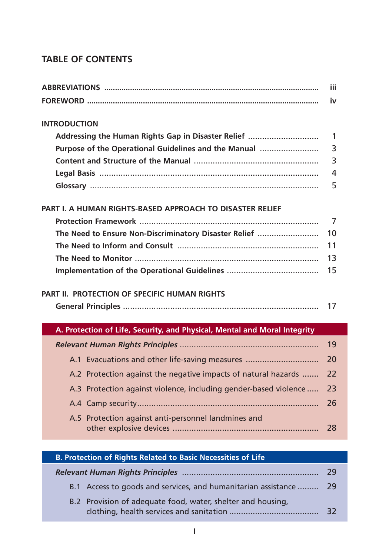### **TABLE OF CONTENTS**

| iii                                                                       |    |
|---------------------------------------------------------------------------|----|
|                                                                           |    |
| <b>INTRODUCTION</b>                                                       |    |
| Addressing the Human Rights Gap in Disaster Relief                        | 1  |
| Purpose of the Operational Guidelines and the Manual                      | 3  |
|                                                                           | 3  |
|                                                                           | 4  |
|                                                                           | 5  |
|                                                                           |    |
| <b>PART I. A HUMAN RIGHTS-BASED APPROACH TO DISASTER RELIEF</b>           |    |
|                                                                           | 7  |
| The Need to Ensure Non-Discriminatory Disaster Relief                     | 10 |
|                                                                           | 11 |
|                                                                           | 13 |
|                                                                           | 15 |
|                                                                           |    |
| PART II. PROTECTION OF SPECIFIC HUMAN RIGHTS                              |    |
|                                                                           | 17 |
|                                                                           |    |
| A. Protection of Life, Security, and Physical, Mental and Moral Integrity |    |
|                                                                           | 19 |
| A.1 Evacuations and other life-saving measures                            | 20 |
| A.2 Protection against the negative impacts of natural hazards            | 22 |
| A.3 Protection against violence, including gender-based violence          | 23 |
|                                                                           | 26 |
| A.5 Protection against anti-personnel landmines and                       |    |
|                                                                           | 28 |
|                                                                           |    |
| B. Protection of Rights Related to Basic Necessities of Life              |    |

|  | B.1 Access to goods and services, and humanitarian assistance  29 |    |
|--|-------------------------------------------------------------------|----|
|  | B.2 Provision of adequate food, water, shelter and housing,       | 32 |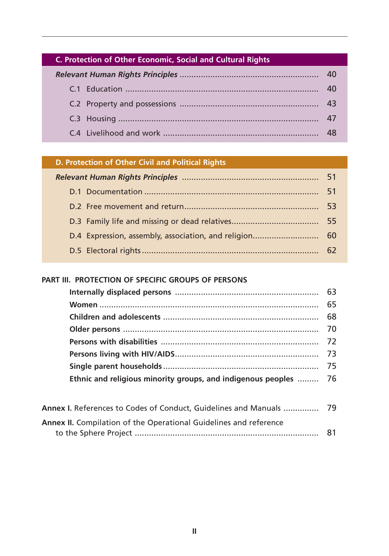### **C. Protection of Other Economic, Social and Cultural Rights**

#### **D. Protection of Other Civil and Political Rights**

|  |  | 51 |
|--|--|----|
|  |  | 51 |
|  |  | 53 |
|  |  |    |
|  |  |    |
|  |  |    |

#### **PART III. PROTECTION OF SPECIFIC GROUPS OF PERSONS**

| Ethnic and religious minority groups, and indigenous peoples  76 |  |
|------------------------------------------------------------------|--|
|                                                                  |  |

| Annex I. References to Codes of Conduct, Guidelines and Manuals  79 |  |
|---------------------------------------------------------------------|--|
| Annex II. Compilation of the Operational Guidelines and reference   |  |
|                                                                     |  |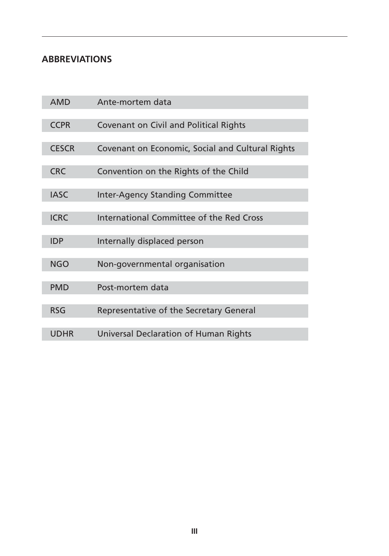#### **ABBREVIATIONS**

| <b>AMD</b>   | Ante-mortem data                                 |
|--------------|--------------------------------------------------|
|              |                                                  |
| <b>CCPR</b>  | <b>Covenant on Civil and Political Rights</b>    |
| <b>CESCR</b> | Covenant on Economic, Social and Cultural Rights |
| <b>CRC</b>   | Convention on the Rights of the Child            |
|              |                                                  |
| <b>IASC</b>  | <b>Inter-Agency Standing Committee</b>           |
| <b>ICRC</b>  | International Committee of the Red Cross         |
| <b>IDP</b>   | Internally displaced person                      |
|              |                                                  |
| <b>NGO</b>   | Non-governmental organisation                    |
|              |                                                  |
| <b>PMD</b>   | Post-mortem data                                 |
| <b>RSG</b>   | Representative of the Secretary General          |
|              |                                                  |
| <b>UDHR</b>  | <b>Universal Declaration of Human Rights</b>     |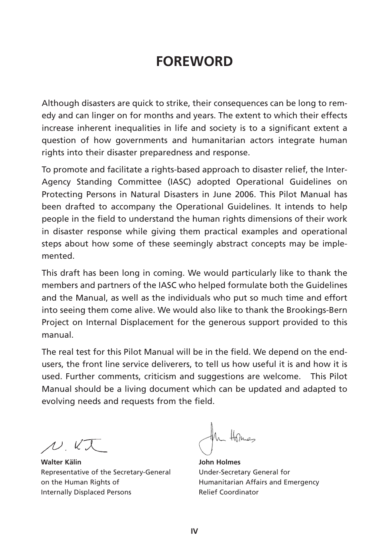# **FOREWORD**

Although disasters are quick to strike, their consequences can be long to remedy and can linger on for months and years. The extent to which their effects increase inherent inequalities in life and society is to a significant extent a question of how governments and humanitarian actors integrate human rights into their disaster preparedness and response.

To promote and facilitate a rights-based approach to disaster relief, the Inter-Agency Standing Committee (IASC) adopted Operational Guidelines on Protecting Persons in Natural Disasters in June 2006. This Pilot Manual has been drafted to accompany the Operational Guidelines. It intends to help people in the field to understand the human rights dimensions of their work in disaster response while giving them practical examples and operational steps about how some of these seemingly abstract concepts may be implemented.

This draft has been long in coming. We would particularly like to thank the members and partners of the IASC who helped formulate both the Guidelines and the Manual, as well as the individuals who put so much time and effort into seeing them come alive. We would also like to thank the Brookings-Bern Project on Internal Displacement for the generous support provided to this manual.

The real test for this Pilot Manual will be in the field. We depend on the endusers, the front line service deliverers, to tell us how useful it is and how it is used. Further comments, criticism and suggestions are welcome. This Pilot Manual should be a living document which can be updated and adapted to evolving needs and requests from the field.

 $N$ ,  $k$  $\overline{\lambda}$ 

**Walter Kälin** Representative of the Secretary-General on the Human Rights of Internally Displaced Persons

**John Holmes** Under-Secretary General for Humanitarian Affairs and Emergency Relief Coordinator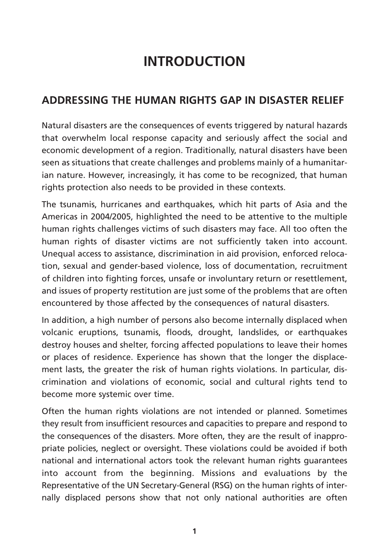# **INTRODUCTION**

### **ADDRESSING THE HUMAN RIGHTS GAP IN DISASTER RELIEF**

Natural disasters are the consequences of events triggered by natural hazards that overwhelm local response capacity and seriously affect the social and economic development of a region. Traditionally, natural disasters have been seen as situations that create challenges and problems mainly of a humanitarian nature. However, increasingly, it has come to be recognized, that human rights protection also needs to be provided in these contexts.

The tsunamis, hurricanes and earthquakes, which hit parts of Asia and the Americas in 2004/2005, highlighted the need to be attentive to the multiple human rights challenges victims of such disasters may face. All too often the human rights of disaster victims are not sufficiently taken into account. Unequal access to assistance, discrimination in aid provision, enforced relocation, sexual and gender-based violence, loss of documentation, recruitment of children into fighting forces, unsafe or involuntary return or resettlement, and issues of property restitution are just some of the problems that are often encountered by those affected by the consequences of natural disasters.

In addition, a high number of persons also become internally displaced when volcanic eruptions, tsunamis, floods, drought, landslides, or earthquakes destroy houses and shelter, forcing affected populations to leave their homes or places of residence. Experience has shown that the longer the displacement lasts, the greater the risk of human rights violations. In particular, discrimination and violations of economic, social and cultural rights tend to become more systemic over time.

Often the human rights violations are not intended or planned. Sometimes they result from insufficient resources and capacities to prepare and respond to the consequences of the disasters. More often, they are the result of inappropriate policies, neglect or oversight. These violations could be avoided if both national and international actors took the relevant human rights guarantees into account from the beginning. Missions and evaluations by the Representative of the UN Secretary-General (RSG) on the human rights of internally displaced persons show that not only national authorities are often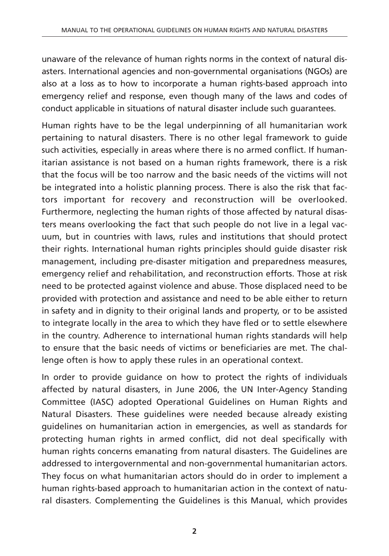unaware of the relevance of human rights norms in the context of natural disasters. International agencies and non-governmental organisations (NGOs) are also at a loss as to how to incorporate a human rights-based approach into emergency relief and response, even though many of the laws and codes of conduct applicable in situations of natural disaster include such guarantees.

Human rights have to be the legal underpinning of all humanitarian work pertaining to natural disasters. There is no other legal framework to guide such activities, especially in areas where there is no armed conflict. If humanitarian assistance is not based on a human rights framework, there is a risk that the focus will be too narrow and the basic needs of the victims will not be integrated into a holistic planning process. There is also the risk that factors important for recovery and reconstruction will be overlooked. Furthermore, neglecting the human rights of those affected by natural disasters means overlooking the fact that such people do not live in a legal vacuum, but in countries with laws, rules and institutions that should protect their rights. International human rights principles should guide disaster risk management, including pre-disaster mitigation and preparedness measures, emergency relief and rehabilitation, and reconstruction efforts. Those at risk need to be protected against violence and abuse. Those displaced need to be provided with protection and assistance and need to be able either to return in safety and in dignity to their original lands and property, or to be assisted to integrate locally in the area to which they have fled or to settle elsewhere in the country. Adherence to international human rights standards will help to ensure that the basic needs of victims or beneficiaries are met. The challenge often is how to apply these rules in an operational context.

In order to provide guidance on how to protect the rights of individuals affected by natural disasters, in June 2006, the UN Inter-Agency Standing Committee (IASC) adopted Operational Guidelines on Human Rights and Natural Disasters. These guidelines were needed because already existing guidelines on humanitarian action in emergencies, as well as standards for protecting human rights in armed conflict, did not deal specifically with human rights concerns emanating from natural disasters. The Guidelines are addressed to intergovernmental and non-governmental humanitarian actors. They focus on what humanitarian actors should do in order to implement a human rights-based approach to humanitarian action in the context of natural disasters. Complementing the Guidelines is this Manual, which provides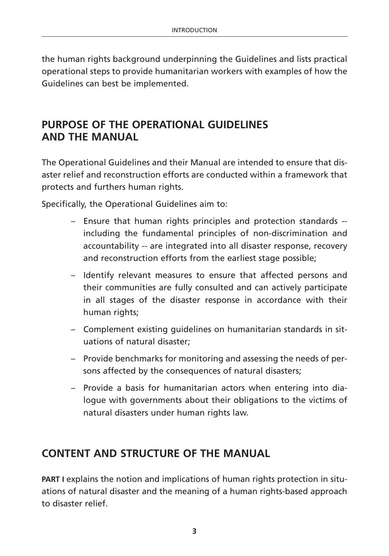the human rights background underpinning the Guidelines and lists practical operational steps to provide humanitarian workers with examples of how the Guidelines can best be implemented.

### **PURPOSE OF THE OPERATIONAL GUIDELINES AND THE MANUAL**

The Operational Guidelines and their Manual are intended to ensure that disaster relief and reconstruction efforts are conducted within a framework that protects and furthers human rights.

Specifically, the Operational Guidelines aim to:

- Ensure that human rights principles and protection standards including the fundamental principles of non-discrimination and accountability -- are integrated into all disaster response, recovery and reconstruction efforts from the earliest stage possible;
- Identify relevant measures to ensure that affected persons and their communities are fully consulted and can actively participate in all stages of the disaster response in accordance with their human rights;
- Complement existing guidelines on humanitarian standards in situations of natural disaster;
- Provide benchmarks for monitoring and assessing the needs of persons affected by the consequences of natural disasters;
- Provide a basis for humanitarian actors when entering into dialogue with governments about their obligations to the victims of natural disasters under human rights law.

### **CONTENT AND STRUCTURE OF THE MANUAL**

**PART I** explains the notion and implications of human rights protection in situations of natural disaster and the meaning of a human rights-based approach to disaster relief.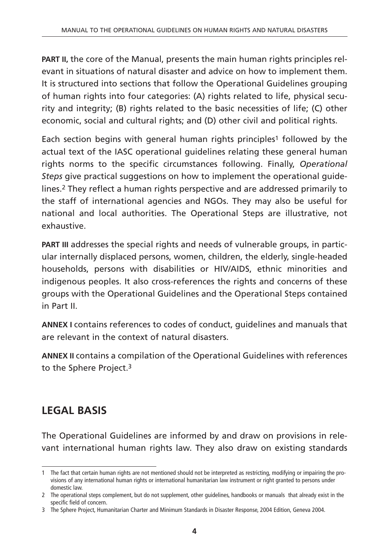**PART II,** the core of the Manual, presents the main human rights principles relevant in situations of natural disaster and advice on how to implement them. It is structured into sections that follow the Operational Guidelines grouping of human rights into four categories: (A) rights related to life, physical security and integrity; (B) rights related to the basic necessities of life; (C) other economic, social and cultural rights; and (D) other civil and political rights.

Each section begins with general human rights principles1 followed by the actual text of the IASC operational guidelines relating these general human rights norms to the specific circumstances following. Finally, *Operational Steps* give practical suggestions on how to implement the operational guidelines.2 They reflect a human rights perspective and are addressed primarily to the staff of international agencies and NGOs. They may also be useful for national and local authorities. The Operational Steps are illustrative, not exhaustive.

**PART III** addresses the special rights and needs of vulnerable groups, in particular internally displaced persons, women, children, the elderly, single-headed households, persons with disabilities or HIV/AIDS, ethnic minorities and indigenous peoples. It also cross-references the rights and concerns of these groups with the Operational Guidelines and the Operational Steps contained in Part II.

**ANNEX I** contains references to codes of conduct, guidelines and manuals that are relevant in the context of natural disasters.

**ANNEX II** contains a compilation of the Operational Guidelines with references to the Sphere Project.3

# **LEGAL BASIS**

The Operational Guidelines are informed by and draw on provisions in relevant international human rights law. They also draw on existing standards

<sup>1</sup> The fact that certain human rights are not mentioned should not be interpreted as restricting, modifying or impairing the provisions of any international human rights or international humanitarian law instrument or right granted to persons under domestic law.

<sup>2</sup> The operational steps complement, but do not supplement, other guidelines, handbooks or manuals that already exist in the specific field of concern.

<sup>3</sup> The Sphere Project, Humanitarian Charter and Minimum Standards in Disaster Response, 2004 Edition, Geneva 2004.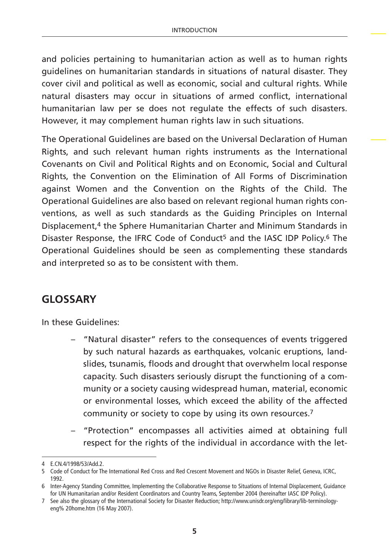and policies pertaining to humanitarian action as well as to human rights guidelines on humanitarian standards in situations of natural disaster. They cover civil and political as well as economic, social and cultural rights. While natural disasters may occur in situations of armed conflict, international humanitarian law per se does not regulate the effects of such disasters. However, it may complement human rights law in such situations.

The Operational Guidelines are based on the Universal Declaration of Human Rights, and such relevant human rights instruments as the International Covenants on Civil and Political Rights and on Economic, Social and Cultural Rights, the Convention on the Elimination of All Forms of Discrimination against Women and the Convention on the Rights of the Child. The Operational Guidelines are also based on relevant regional human rights conventions, as well as such standards as the Guiding Principles on Internal Displacement,4 the Sphere Humanitarian Charter and Minimum Standards in Disaster Response, the IFRC Code of Conduct<sup>5</sup> and the IASC IDP Policy.<sup>6</sup> The Operational Guidelines should be seen as complementing these standards and interpreted so as to be consistent with them.

### **GLOSSARY**

In these Guidelines:

- "Natural disaster" refers to the consequences of events triggered by such natural hazards as earthquakes, volcanic eruptions, landslides, tsunamis, floods and drought that overwhelm local response capacity. Such disasters seriously disrupt the functioning of a community or a society causing widespread human, material, economic or environmental losses, which exceed the ability of the affected community or society to cope by using its own resources.7
- "Protection" encompasses all activities aimed at obtaining full respect for the rights of the individual in accordance with the let-

<sup>4</sup> E.CN.4/1998/53/Add.2.

<sup>5</sup> Code of Conduct for The International Red Cross and Red Crescent Movement and NGOs in Disaster Relief, Geneva, ICRC, 1992.

<sup>6</sup> Inter-Agency Standing Committee, Implementing the Collaborative Response to Situations of Internal Displacement, Guidance for UN Humanitarian and/or Resident Coordinators and Country Teams, September 2004 (hereinafter IASC IDP Policy).

<sup>7</sup> See also the glossary of the International Society for Disaster Reduction; http://www.unisdr.org/eng/library/lib-terminologyeng% 20home.htm (16 May 2007).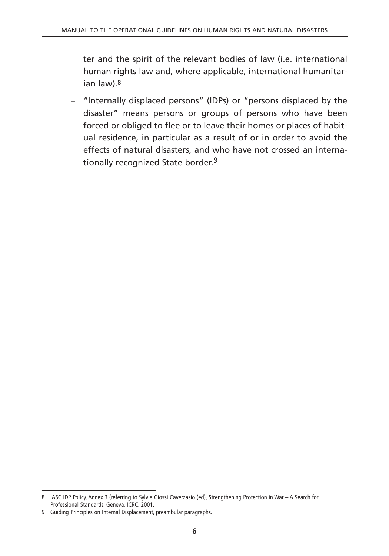ter and the spirit of the relevant bodies of law (i.e. international human rights law and, where applicable, international humanitarian law).8

– "Internally displaced persons" (IDPs) or "persons displaced by the disaster" means persons or groups of persons who have been forced or obliged to flee or to leave their homes or places of habitual residence, in particular as a result of or in order to avoid the effects of natural disasters, and who have not crossed an internationally recognized State border.9

<sup>8</sup> IASC IDP Policy, Annex 3 (referring to Sylvie Giossi Caverzasio (ed), Strengthening Protection in War – A Search for Professional Standards, Geneva, ICRC, 2001.

<sup>9</sup> Guiding Principles on Internal Displacement, preambular paragraphs.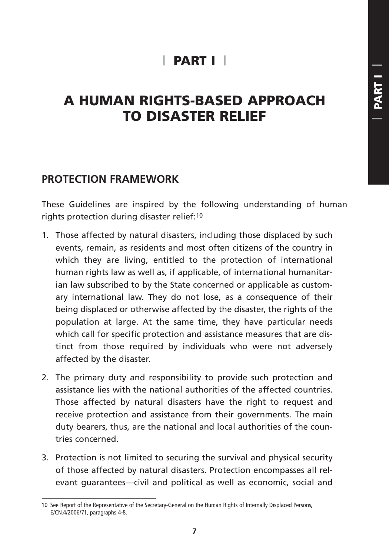# **| PART I |**

# **A HUMAN RIGHTS-BASED APPROACH TO DISASTER RELIEF**

### **PROTECTION FRAMEWORK**

These Guidelines are inspired by the following understanding of human rights protection during disaster relief:10

- 1. Those affected by natural disasters, including those displaced by such events, remain, as residents and most often citizens of the country in which they are living, entitled to the protection of international human rights law as well as, if applicable, of international humanitarian law subscribed to by the State concerned or applicable as customary international law. They do not lose, as a consequence of their being displaced or otherwise affected by the disaster, the rights of the population at large. At the same time, they have particular needs which call for specific protection and assistance measures that are distinct from those required by individuals who were not adversely affected by the disaster.
- 2. The primary duty and responsibility to provide such protection and assistance lies with the national authorities of the affected countries. Those affected by natural disasters have the right to request and receive protection and assistance from their governments. The main duty bearers, thus, are the national and local authorities of the countries concerned.
- 3. Protection is not limited to securing the survival and physical security of those affected by natural disasters. Protection encompasses all relevant guarantees—civil and political as well as economic, social and

<sup>10</sup> See Report of the Representative of the Secretary-General on the Human Rights of Internally Displaced Persons, E/CN.4/2006/71, paragraphs 4-8.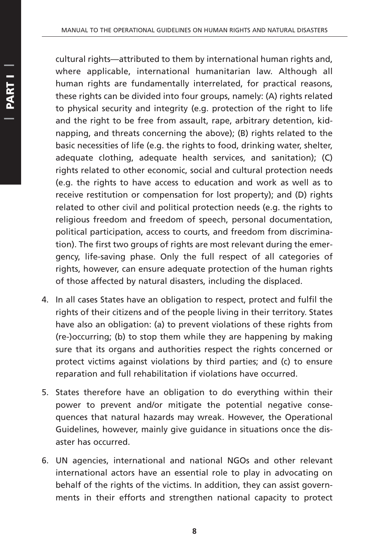cultural rights—attributed to them by international human rights and, where applicable, international humanitarian law. Although all human rights are fundamentally interrelated, for practical reasons, these rights can be divided into four groups, namely: (A) rights related to physical security and integrity (e.g. protection of the right to life and the right to be free from assault, rape, arbitrary detention, kidnapping, and threats concerning the above); (B) rights related to the basic necessities of life (e.g. the rights to food, drinking water, shelter, adequate clothing, adequate health services, and sanitation); (C) rights related to other economic, social and cultural protection needs (e.g. the rights to have access to education and work as well as to receive restitution or compensation for lost property); and (D) rights related to other civil and political protection needs (e.g. the rights to religious freedom and freedom of speech, personal documentation, political participation, access to courts, and freedom from discrimination). The first two groups of rights are most relevant during the emergency, life-saving phase. Only the full respect of all categories of rights, however, can ensure adequate protection of the human rights of those affected by natural disasters, including the displaced.

- 4. In all cases States have an obligation to respect, protect and fulfil the rights of their citizens and of the people living in their territory. States have also an obligation: (a) to prevent violations of these rights from (re-)occurring; (b) to stop them while they are happening by making sure that its organs and authorities respect the rights concerned or protect victims against violations by third parties; and (c) to ensure reparation and full rehabilitation if violations have occurred.
- 5. States therefore have an obligation to do everything within their power to prevent and/or mitigate the potential negative consequences that natural hazards may wreak. However, the Operational Guidelines, however, mainly give guidance in situations once the disaster has occurred.
- 6. UN agencies, international and national NGOs and other relevant international actors have an essential role to play in advocating on behalf of the rights of the victims. In addition, they can assist governments in their efforts and strengthen national capacity to protect

**8**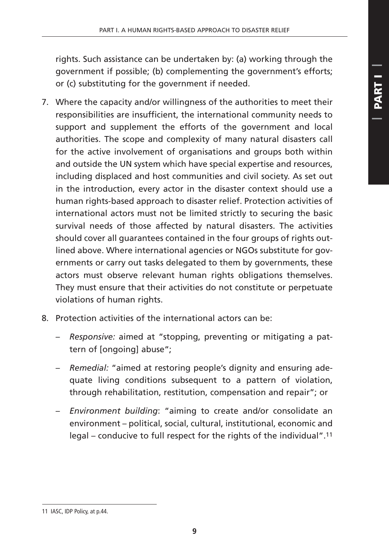rights. Such assistance can be undertaken by: (a) working through the government if possible; (b) complementing the government's efforts; or (c) substituting for the government if needed.

- 7. Where the capacity and/or willingness of the authorities to meet their responsibilities are insufficient, the international community needs to support and supplement the efforts of the government and local authorities. The scope and complexity of many natural disasters call for the active involvement of organisations and groups both within and outside the UN system which have special expertise and resources, including displaced and host communities and civil society. As set out in the introduction, every actor in the disaster context should use a human rights-based approach to disaster relief. Protection activities of international actors must not be limited strictly to securing the basic survival needs of those affected by natural disasters. The activities should cover all guarantees contained in the four groups of rights outlined above. Where international agencies or NGOs substitute for governments or carry out tasks delegated to them by governments, these actors must observe relevant human rights obligations themselves. They must ensure that their activities do not constitute or perpetuate violations of human rights.
- 8. Protection activities of the international actors can be:
	- *Responsive:* aimed at "stopping, preventing or mitigating a pattern of [ongoing] abuse";
	- *Remedial:* "aimed at restoring people's dignity and ensuring adequate living conditions subsequent to a pattern of violation, through rehabilitation, restitution, compensation and repair"; or
	- *Environment building*: "aiming to create and/or consolidate an environment – political, social, cultural, institutional, economic and legal – conducive to full respect for the rights of the individual".11

<sup>11</sup> IASC, IDP Policy, at p.44.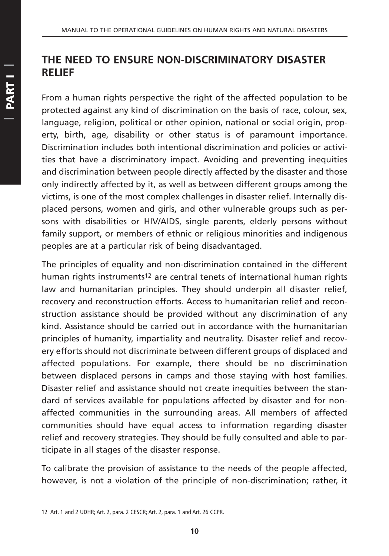### **THE NEED TO ENSURE NON-DISCRIMINATORY DISASTER RELIEF**

From a human rights perspective the right of the affected population to be protected against any kind of discrimination on the basis of race, colour, sex, language, religion, political or other opinion, national or social origin, property, birth, age, disability or other status is of paramount importance. Discrimination includes both intentional discrimination and policies or activities that have a discriminatory impact. Avoiding and preventing inequities and discrimination between people directly affected by the disaster and those only indirectly affected by it, as well as between different groups among the victims, is one of the most complex challenges in disaster relief. Internally displaced persons, women and girls, and other vulnerable groups such as persons with disabilities or HIV/AIDS, single parents, elderly persons without family support, or members of ethnic or religious minorities and indigenous peoples are at a particular risk of being disadvantaged.

The principles of equality and non-discrimination contained in the different human rights instruments<sup>12</sup> are central tenets of international human rights law and humanitarian principles. They should underpin all disaster relief, recovery and reconstruction efforts. Access to humanitarian relief and reconstruction assistance should be provided without any discrimination of any kind. Assistance should be carried out in accordance with the humanitarian principles of humanity, impartiality and neutrality. Disaster relief and recovery efforts should not discriminate between different groups of displaced and affected populations. For example, there should be no discrimination between displaced persons in camps and those staying with host families. Disaster relief and assistance should not create inequities between the standard of services available for populations affected by disaster and for nonaffected communities in the surrounding areas. All members of affected communities should have equal access to information regarding disaster relief and recovery strategies. They should be fully consulted and able to participate in all stages of the disaster response.

To calibrate the provision of assistance to the needs of the people affected, however, is not a violation of the principle of non-discrimination; rather, it

<sup>12</sup> Art. 1 and 2 UDHR; Art. 2, para. 2 CESCR; Art. 2, para. 1 and Art. 26 CCPR.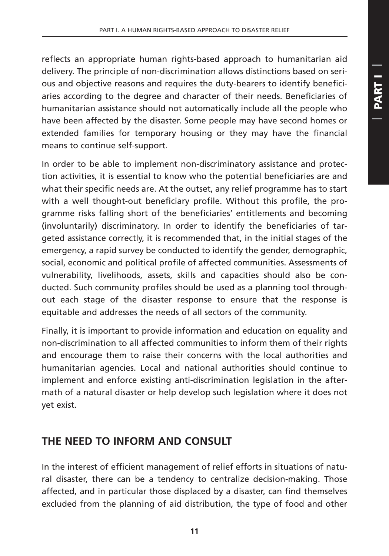reflects an appropriate human rights-based approach to humanitarian aid delivery. The principle of non-discrimination allows distinctions based on serious and objective reasons and requires the duty-bearers to identify beneficiaries according to the degree and character of their needs. Beneficiaries of humanitarian assistance should not automatically include all the people who have been affected by the disaster. Some people may have second homes or extended families for temporary housing or they may have the financial means to continue self-support.

In order to be able to implement non-discriminatory assistance and protection activities, it is essential to know who the potential beneficiaries are and what their specific needs are. At the outset, any relief programme has to start with a well thought-out beneficiary profile. Without this profile, the programme risks falling short of the beneficiaries' entitlements and becoming (involuntarily) discriminatory. In order to identify the beneficiaries of targeted assistance correctly, it is recommended that, in the initial stages of the emergency, a rapid survey be conducted to identify the gender, demographic, social, economic and political profile of affected communities. Assessments of vulnerability, livelihoods, assets, skills and capacities should also be conducted. Such community profiles should be used as a planning tool throughout each stage of the disaster response to ensure that the response is equitable and addresses the needs of all sectors of the community.

Finally, it is important to provide information and education on equality and non-discrimination to all affected communities to inform them of their rights and encourage them to raise their concerns with the local authorities and humanitarian agencies. Local and national authorities should continue to implement and enforce existing anti-discrimination legislation in the aftermath of a natural disaster or help develop such legislation where it does not yet exist.

### **THE NEED TO INFORM AND CONSULT**

In the interest of efficient management of relief efforts in situations of natural disaster, there can be a tendency to centralize decision-making. Those affected, and in particular those displaced by a disaster, can find themselves excluded from the planning of aid distribution, the type of food and other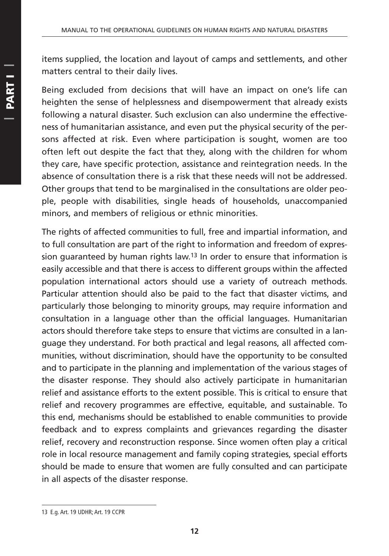items supplied, the location and layout of camps and settlements, and other matters central to their daily lives.

Being excluded from decisions that will have an impact on one's life can heighten the sense of helplessness and disempowerment that already exists following a natural disaster. Such exclusion can also undermine the effectiveness of humanitarian assistance, and even put the physical security of the persons affected at risk. Even where participation is sought, women are too often left out despite the fact that they, along with the children for whom they care, have specific protection, assistance and reintegration needs. In the absence of consultation there is a risk that these needs will not be addressed. Other groups that tend to be marginalised in the consultations are older people, people with disabilities, single heads of households, unaccompanied minors, and members of religious or ethnic minorities.

The rights of affected communities to full, free and impartial information, and to full consultation are part of the right to information and freedom of expression guaranteed by human rights law.13 In order to ensure that information is easily accessible and that there is access to different groups within the affected population international actors should use a variety of outreach methods. Particular attention should also be paid to the fact that disaster victims, and particularly those belonging to minority groups, may require information and consultation in a language other than the official languages. Humanitarian actors should therefore take steps to ensure that victims are consulted in a language they understand. For both practical and legal reasons, all affected communities, without discrimination, should have the opportunity to be consulted and to participate in the planning and implementation of the various stages of the disaster response. They should also actively participate in humanitarian relief and assistance efforts to the extent possible. This is critical to ensure that relief and recovery programmes are effective, equitable, and sustainable. To this end, mechanisms should be established to enable communities to provide feedback and to express complaints and grievances regarding the disaster relief, recovery and reconstruction response. Since women often play a critical role in local resource management and family coping strategies, special efforts should be made to ensure that women are fully consulted and can participate in all aspects of the disaster response.

**PART I |**PART I

<sup>13</sup> E.g. Art. 19 UDHR; Art. 19 CCPR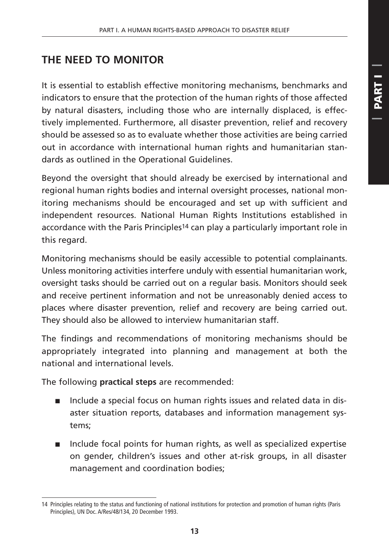# **THE NEED TO MONITOR**

It is essential to establish effective monitoring mechanisms, benchmarks and indicators to ensure that the protection of the human rights of those affected by natural disasters, including those who are internally displaced, is effectively implemented. Furthermore, all disaster prevention, relief and recovery should be assessed so as to evaluate whether those activities are being carried out in accordance with international human rights and humanitarian standards as outlined in the Operational Guidelines.

Beyond the oversight that should already be exercised by international and regional human rights bodies and internal oversight processes, national monitoring mechanisms should be encouraged and set up with sufficient and independent resources. National Human Rights Institutions established in accordance with the Paris Principles<sup>14</sup> can play a particularly important role in this regard.

Monitoring mechanisms should be easily accessible to potential complainants. Unless monitoring activities interfere unduly with essential humanitarian work, oversight tasks should be carried out on a regular basis. Monitors should seek and receive pertinent information and not be unreasonably denied access to places where disaster prevention, relief and recovery are being carried out. They should also be allowed to interview humanitarian staff.

The findings and recommendations of monitoring mechanisms should be appropriately integrated into planning and management at both the national and international levels.

The following **practical steps** are recommended:

- Include a special focus on human rights issues and related data in disaster situation reports, databases and information management systems;
- Include focal points for human rights, as well as specialized expertise on gender, children's issues and other at-risk groups, in all disaster management and coordination bodies;

<sup>14</sup> Principles relating to the status and functioning of national institutions for protection and promotion of human rights (Paris Principles), UN Doc. A/Res/48/134, 20 December 1993.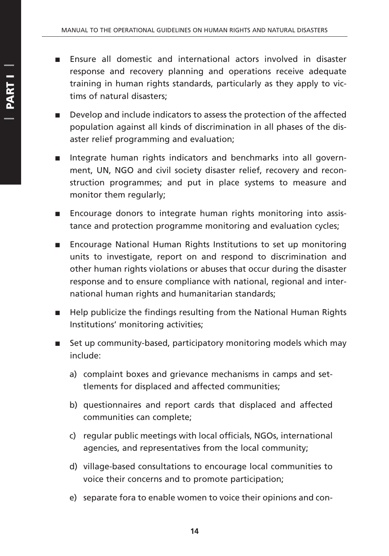- Ensure all domestic and international actors involved in disaster response and recovery planning and operations receive adequate training in human rights standards, particularly as they apply to victims of natural disasters;
- Develop and include indicators to assess the protection of the affected population against all kinds of discrimination in all phases of the disaster relief programming and evaluation;
- Integrate human rights indicators and benchmarks into all government, UN, NGO and civil society disaster relief, recovery and reconstruction programmes; and put in place systems to measure and monitor them regularly;
- Encourage donors to integrate human rights monitoring into assistance and protection programme monitoring and evaluation cycles;
- Encourage National Human Rights Institutions to set up monitoring units to investigate, report on and respond to discrimination and other human rights violations or abuses that occur during the disaster response and to ensure compliance with national, regional and international human rights and humanitarian standards;
- Help publicize the findings resulting from the National Human Rights Institutions' monitoring activities;
- Set up community-based, participatory monitoring models which may include:
	- a) complaint boxes and grievance mechanisms in camps and settlements for displaced and affected communities;
	- b) questionnaires and report cards that displaced and affected communities can complete;
	- c) regular public meetings with local officials, NGOs, international agencies, and representatives from the local community;
	- d) village-based consultations to encourage local communities to voice their concerns and to promote participation;
	- e) separate fora to enable women to voice their opinions and con-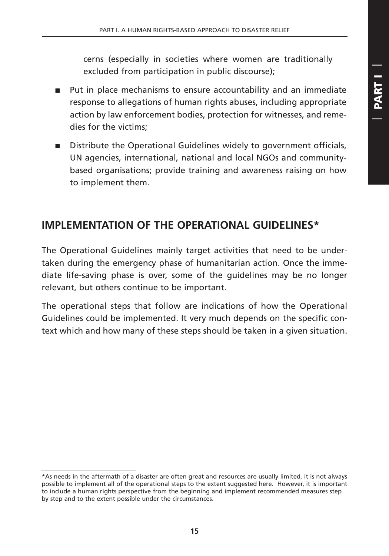cerns (especially in societies where women are traditionally excluded from participation in public discourse);

- Put in place mechanisms to ensure accountability and an immediate response to allegations of human rights abuses, including appropriate action by law enforcement bodies, protection for witnesses, and remedies for the victims;
- Distribute the Operational Guidelines widely to government officials, UN agencies, international, national and local NGOs and communitybased organisations; provide training and awareness raising on how to implement them.

### **IMPLEMENTATION OF THE OPERATIONAL GUIDELINES\***

The Operational Guidelines mainly target activities that need to be undertaken during the emergency phase of humanitarian action. Once the immediate life-saving phase is over, some of the guidelines may be no longer relevant, but others continue to be important.

The operational steps that follow are indications of how the Operational Guidelines could be implemented. It very much depends on the specific context which and how many of these steps should be taken in a given situation.

<sup>\*</sup>As needs in the aftermath of a disaster are often great and resources are usually limited, it is not always possible to implement all of the operational steps to the extent suggested here. However, it is important to include a human rights perspective from the beginning and implement recommended measures step by step and to the extent possible under the circumstances.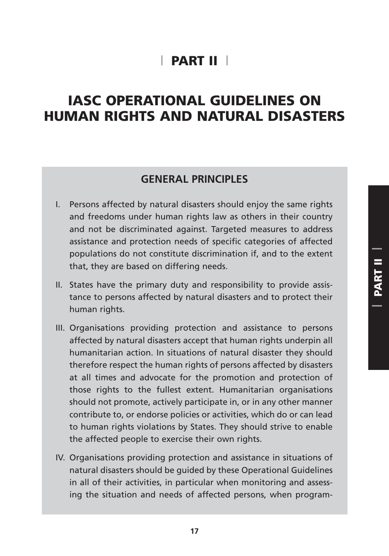# **| PART II |**

# **IASC OPERATIONAL GUIDELINES ON HUMAN RIGHTS AND NATURAL DISASTERS**

#### **GENERAL PRINCIPLES**

- I. Persons affected by natural disasters should enjoy the same rights and freedoms under human rights law as others in their country and not be discriminated against. Targeted measures to address assistance and protection needs of specific categories of affected populations do not constitute discrimination if, and to the extent that, they are based on differing needs.
- II. States have the primary duty and responsibility to provide assistance to persons affected by natural disasters and to protect their human rights.
- III. Organisations providing protection and assistance to persons affected by natural disasters accept that human rights underpin all humanitarian action. In situations of natural disaster they should therefore respect the human rights of persons affected by disasters at all times and advocate for the promotion and protection of those rights to the fullest extent. Humanitarian organisations should not promote, actively participate in, or in any other manner contribute to, or endorse policies or activities, which do or can lead to human rights violations by States. They should strive to enable the affected people to exercise their own rights.
- IV. Organisations providing protection and assistance in situations of natural disasters should be guided by these Operational Guidelines in all of their activities, in particular when monitoring and assessing the situation and needs of affected persons, when program-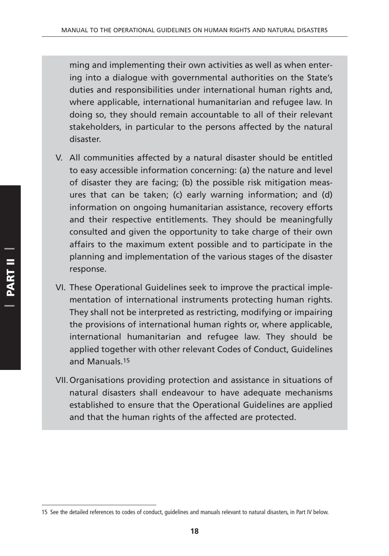ming and implementing their own activities as well as when entering into a dialogue with governmental authorities on the State's duties and responsibilities under international human rights and, where applicable, international humanitarian and refugee law. In doing so, they should remain accountable to all of their relevant stakeholders, in particular to the persons affected by the natural disaster.

- V. All communities affected by a natural disaster should be entitled to easy accessible information concerning: (a) the nature and level of disaster they are facing; (b) the possible risk mitigation measures that can be taken; (c) early warning information; and (d) information on ongoing humanitarian assistance, recovery efforts and their respective entitlements. They should be meaningfully consulted and given the opportunity to take charge of their own affairs to the maximum extent possible and to participate in the planning and implementation of the various stages of the disaster response.
- VI. These Operational Guidelines seek to improve the practical implementation of international instruments protecting human rights. They shall not be interpreted as restricting, modifying or impairing the provisions of international human rights or, where applicable, international humanitarian and refugee law. They should be applied together with other relevant Codes of Conduct, Guidelines and Manuals.15
- VII.Organisations providing protection and assistance in situations of natural disasters shall endeavour to have adequate mechanisms established to ensure that the Operational Guidelines are applied and that the human rights of the affected are protected.

<sup>15</sup> See the detailed references to codes of conduct, guidelines and manuals relevant to natural disasters, in Part IV below.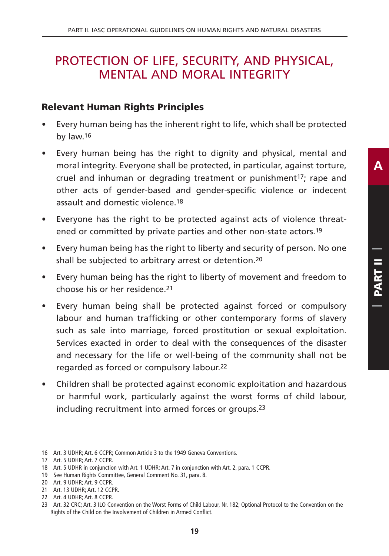# PROTECTION OF LIFE, SECURITY, AND PHYSICAL, MENTAL AND MORAL INTEGRITY

#### **Relevant Human Rights Principles**

- Every human being has the inherent right to life, which shall be protected by law.16
- Every human being has the right to dignity and physical, mental and moral integrity. Everyone shall be protected, in particular, against torture, cruel and inhuman or degrading treatment or punishment<sup>17</sup>; rape and other acts of gender-based and gender-specific violence or indecent assault and domestic violence.18
- Everyone has the right to be protected against acts of violence threatened or committed by private parties and other non-state actors.19
- Every human being has the right to liberty and security of person. No one shall be subjected to arbitrary arrest or detention.20
- Every human being has the right to liberty of movement and freedom to choose his or her residence.21
- Every human being shall be protected against forced or compulsory labour and human trafficking or other contemporary forms of slavery such as sale into marriage, forced prostitution or sexual exploitation. Services exacted in order to deal with the consequences of the disaster and necessary for the life or well-being of the community shall not be regarded as forced or compulsory labour.22
- Children shall be protected against economic exploitation and hazardous or harmful work, particularly against the worst forms of child labour, including recruitment into armed forces or groups.23

<sup>16</sup> Art. 3 UDHR; Art. 6 CCPR; Common Article 3 to the 1949 Geneva Conventions.

<sup>17</sup> Art. 5 UDHR; Art. 7 CCPR.

<sup>18</sup> Art. 5 UDHR in conjunction with Art. 1 UDHR; Art. 7 in conjunction with Art. 2, para. 1 CCPR.

<sup>19</sup> See Human Rights Committee, General Comment No. 31, para. 8.

<sup>20</sup> Art. 9 UDHR; Art. 9 CCPR.

<sup>21</sup> Art. 13 UDHR; Art. 12 CCPR.

<sup>22</sup> Art. 4 UDHR; Art. 8 CCPR.

<sup>23</sup> Art. 32 CRC; Art. 3 ILO Convention on the Worst Forms of Child Labour, Nr. 182; Optional Protocol to the Convention on the Rights of the Child on the Involvement of Children in Armed Conflict.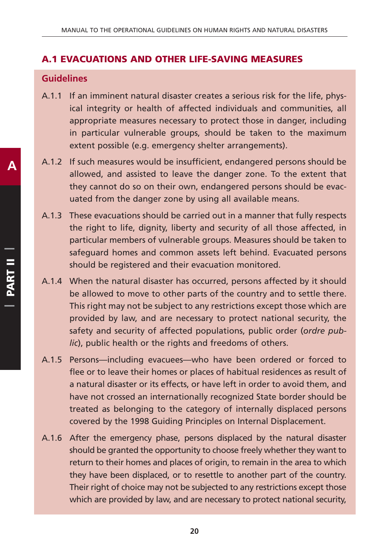#### **A.1 EVACUATIONS AND OTHER LIFE-SAVING MEASURES**

#### **Guidelines**

- A.1.1 If an imminent natural disaster creates a serious risk for the life, physical integrity or health of affected individuals and communities, all appropriate measures necessary to protect those in danger, including in particular vulnerable groups, should be taken to the maximum extent possible (e.g. emergency shelter arrangements).
- A.1.2 If such measures would be insufficient, endangered persons should be allowed, and assisted to leave the danger zone. To the extent that they cannot do so on their own, endangered persons should be evacuated from the danger zone by using all available means.
- A.1.3 These evacuations should be carried out in a manner that fully respects the right to life, dignity, liberty and security of all those affected, in particular members of vulnerable groups. Measures should be taken to safeguard homes and common assets left behind. Evacuated persons should be registered and their evacuation monitored.
- A.1.4 When the natural disaster has occurred, persons affected by it should be allowed to move to other parts of the country and to settle there. This right may not be subject to any restrictions except those which are provided by law, and are necessary to protect national security, the safety and security of affected populations, public order (*ordre public*), public health or the rights and freedoms of others.
- A.1.5 Persons—including evacuees—who have been ordered or forced to flee or to leave their homes or places of habitual residences as result of a natural disaster or its effects, or have left in order to avoid them, and have not crossed an internationally recognized State border should be treated as belonging to the category of internally displaced persons covered by the 1998 Guiding Principles on Internal Displacement.
- A.1.6 After the emergency phase, persons displaced by the natural disaster should be granted the opportunity to choose freely whether they want to return to their homes and places of origin, to remain in the area to which they have been displaced, or to resettle to another part of the country. Their right of choice may not be subjected to any restrictions except those which are provided by law, and are necessary to protect national security,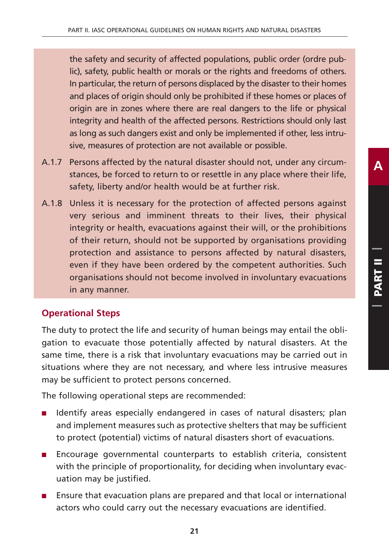the safety and security of affected populations, public order (ordre public), safety, public health or morals or the rights and freedoms of others. In particular, the return of persons displaced by the disaster to their homes and places of origin should only be prohibited if these homes or places of origin are in zones where there are real dangers to the life or physical integrity and health of the affected persons. Restrictions should only last as long as such dangers exist and only be implemented if other, less intrusive, measures of protection are not available or possible.

- A.1.7 Persons affected by the natural disaster should not, under any circumstances, be forced to return to or resettle in any place where their life, safety, liberty and/or health would be at further risk.
- A.1.8 Unless it is necessary for the protection of affected persons against very serious and imminent threats to their lives, their physical integrity or health, evacuations against their will, or the prohibitions of their return, should not be supported by organisations providing protection and assistance to persons affected by natural disasters, even if they have been ordered by the competent authorities. Such organisations should not become involved in involuntary evacuations in any manner.

#### **Operational Steps**

The duty to protect the life and security of human beings may entail the obligation to evacuate those potentially affected by natural disasters. At the same time, there is a risk that involuntary evacuations may be carried out in situations where they are not necessary, and where less intrusive measures may be sufficient to protect persons concerned.

The following operational steps are recommended:

- Identify areas especially endangered in cases of natural disasters; plan and implement measures such as protective shelters that may be sufficient to protect (potential) victims of natural disasters short of evacuations.
- Encourage governmental counterparts to establish criteria, consistent with the principle of proportionality, for deciding when involuntary evacuation may be justified.
- Ensure that evacuation plans are prepared and that local or international actors who could carry out the necessary evacuations are identified.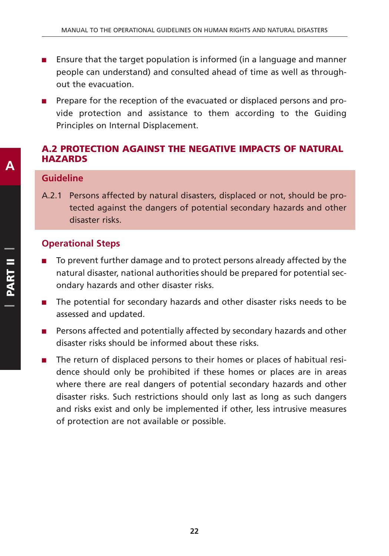- Ensure that the target population is informed (in a language and manner people can understand) and consulted ahead of time as well as throughout the evacuation.
- Prepare for the reception of the evacuated or displaced persons and provide protection and assistance to them according to the Guiding Principles on Internal Displacement.

#### **A.2 PROTECTION AGAINST THE NEGATIVE IMPACTS OF NATURAL HAZARDS**

#### **Guideline**

A.2.1 Persons affected by natural disasters, displaced or not, should be protected against the dangers of potential secondary hazards and other disaster risks.

#### **Operational Steps**

- To prevent further damage and to protect persons already affected by the natural disaster, national authorities should be prepared for potential secondary hazards and other disaster risks.
- The potential for secondary hazards and other disaster risks needs to be assessed and updated.
- Persons affected and potentially affected by secondary hazards and other disaster risks should be informed about these risks.
- The return of displaced persons to their homes or places of habitual residence should only be prohibited if these homes or places are in areas where there are real dangers of potential secondary hazards and other disaster risks. Such restrictions should only last as long as such dangers and risks exist and only be implemented if other, less intrusive measures of protection are not available or possible.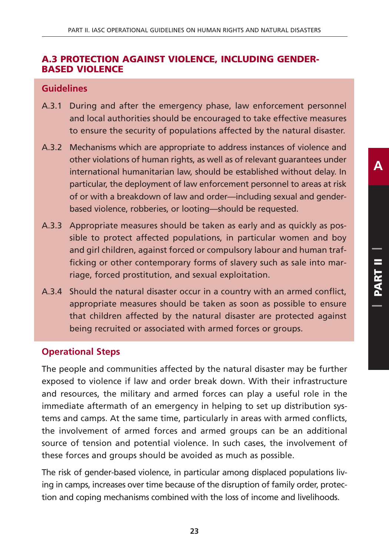#### **A.3 PROTECTION AGAINST VIOLENCE, INCLUDING GENDER-BASED VIOLENCE**

#### **Guidelines**

- A.3.1 During and after the emergency phase, law enforcement personnel and local authorities should be encouraged to take effective measures to ensure the security of populations affected by the natural disaster.
- A.3.2 Mechanisms which are appropriate to address instances of violence and other violations of human rights, as well as of relevant guarantees under international humanitarian law, should be established without delay. In particular, the deployment of law enforcement personnel to areas at risk of or with a breakdown of law and order—including sexual and genderbased violence, robberies, or looting—should be requested.
- A.3.3 Appropriate measures should be taken as early and as quickly as possible to protect affected populations, in particular women and boy and girl children, against forced or compulsory labour and human trafficking or other contemporary forms of slavery such as sale into marriage, forced prostitution, and sexual exploitation.
- A.3.4 Should the natural disaster occur in a country with an armed conflict, appropriate measures should be taken as soon as possible to ensure that children affected by the natural disaster are protected against being recruited or associated with armed forces or groups.

#### **Operational Steps**

The people and communities affected by the natural disaster may be further exposed to violence if law and order break down. With their infrastructure and resources, the military and armed forces can play a useful role in the immediate aftermath of an emergency in helping to set up distribution systems and camps. At the same time, particularly in areas with armed conflicts, the involvement of armed forces and armed groups can be an additional source of tension and potential violence. In such cases, the involvement of these forces and groups should be avoided as much as possible.

The risk of gender-based violence, in particular among displaced populations living in camps, increases over time because of the disruption of family order, protection and coping mechanisms combined with the loss of income and livelihoods.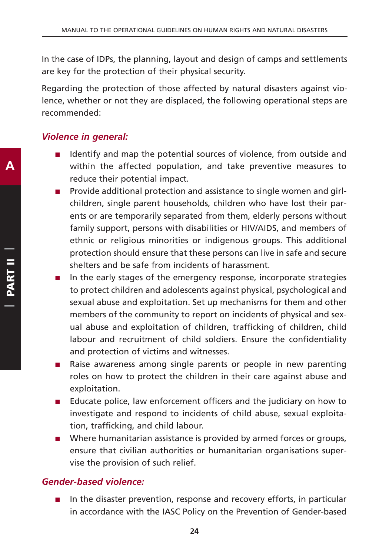In the case of IDPs, the planning, layout and design of camps and settlements are key for the protection of their physical security.

Regarding the protection of those affected by natural disasters against violence, whether or not they are displaced, the following operational steps are recommended:

#### *Violence in general:*

- Identify and map the potential sources of violence, from outside and within the affected population, and take preventive measures to reduce their potential impact.
- Provide additional protection and assistance to single women and girlchildren, single parent households, children who have lost their parents or are temporarily separated from them, elderly persons without family support, persons with disabilities or HIV/AIDS, and members of ethnic or religious minorities or indigenous groups. This additional protection should ensure that these persons can live in safe and secure shelters and be safe from incidents of harassment.
- In the early stages of the emergency response, incorporate strategies to protect children and adolescents against physical, psychological and sexual abuse and exploitation. Set up mechanisms for them and other members of the community to report on incidents of physical and sexual abuse and exploitation of children, trafficking of children, child labour and recruitment of child soldiers. Ensure the confidentiality and protection of victims and witnesses.
- Raise awareness among single parents or people in new parenting roles on how to protect the children in their care against abuse and exploitation.
- Educate police, law enforcement officers and the judiciary on how to investigate and respond to incidents of child abuse, sexual exploitation, trafficking, and child labour.
- Where humanitarian assistance is provided by armed forces or groups, ensure that civilian authorities or humanitarian organisations supervise the provision of such relief.

#### *Gender-based violence:*

In the disaster prevention, response and recovery efforts, in particular in accordance with the IASC Policy on the Prevention of Gender-based

**A**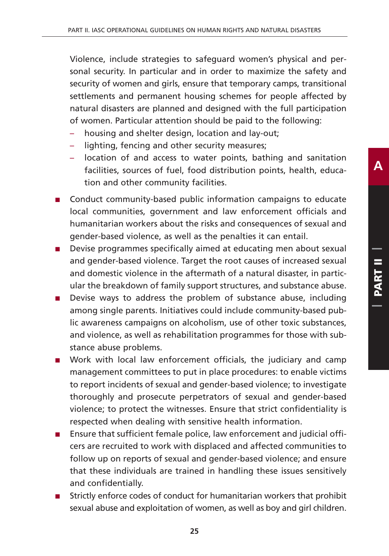Violence, include strategies to safeguard women's physical and personal security. In particular and in order to maximize the safety and security of women and girls, ensure that temporary camps, transitional settlements and permanent housing schemes for people affected by natural disasters are planned and designed with the full participation of women. Particular attention should be paid to the following:

- housing and shelter design, location and lay-out;
- lighting, fencing and other security measures;
- location of and access to water points, bathing and sanitation facilities, sources of fuel, food distribution points, health, education and other community facilities.
- Conduct community-based public information campaigns to educate local communities, government and law enforcement officials and humanitarian workers about the risks and consequences of sexual and gender-based violence, as well as the penalties it can entail.
- Devise programmes specifically aimed at educating men about sexual and gender-based violence. Target the root causes of increased sexual and domestic violence in the aftermath of a natural disaster, in particular the breakdown of family support structures, and substance abuse.
- Devise ways to address the problem of substance abuse, including among single parents. Initiatives could include community-based public awareness campaigns on alcoholism, use of other toxic substances, and violence, as well as rehabilitation programmes for those with substance abuse problems.
- Work with local law enforcement officials, the judiciary and camp management committees to put in place procedures: to enable victims to report incidents of sexual and gender-based violence; to investigate thoroughly and prosecute perpetrators of sexual and gender-based violence; to protect the witnesses. Ensure that strict confidentiality is respected when dealing with sensitive health information.
- Ensure that sufficient female police, law enforcement and judicial officers are recruited to work with displaced and affected communities to follow up on reports of sexual and gender-based violence; and ensure that these individuals are trained in handling these issues sensitively and confidentially.
- Strictly enforce codes of conduct for humanitarian workers that prohibit sexual abuse and exploitation of women, as well as boy and girl children.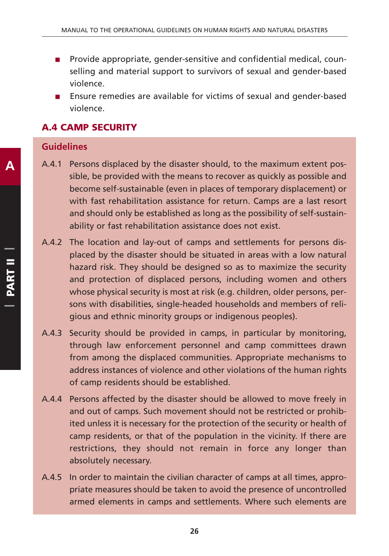- Provide appropriate, gender-sensitive and confidential medical, counselling and material support to survivors of sexual and gender-based violence.
- Ensure remedies are available for victims of sexual and gender-based violence.

#### **A.4 CAMP SECURITY**

#### **Guidelines**

- A.4.1 Persons displaced by the disaster should, to the maximum extent possible, be provided with the means to recover as quickly as possible and become self-sustainable (even in places of temporary displacement) or with fast rehabilitation assistance for return. Camps are a last resort and should only be established as long as the possibility of self-sustainability or fast rehabilitation assistance does not exist.
- A.4.2 The location and lay-out of camps and settlements for persons displaced by the disaster should be situated in areas with a low natural hazard risk. They should be designed so as to maximize the security and protection of displaced persons, including women and others whose physical security is most at risk (e.g. children, older persons, persons with disabilities, single-headed households and members of religious and ethnic minority groups or indigenous peoples).
- A.4.3 Security should be provided in camps, in particular by monitoring, through law enforcement personnel and camp committees drawn from among the displaced communities. Appropriate mechanisms to address instances of violence and other violations of the human rights of camp residents should be established.
- A.4.4 Persons affected by the disaster should be allowed to move freely in and out of camps. Such movement should not be restricted or prohibited unless it is necessary for the protection of the security or health of camp residents, or that of the population in the vicinity. If there are restrictions, they should not remain in force any longer than absolutely necessary.
- A.4.5 In order to maintain the civilian character of camps at all times, appropriate measures should be taken to avoid the presence of uncontrolled armed elements in camps and settlements. Where such elements are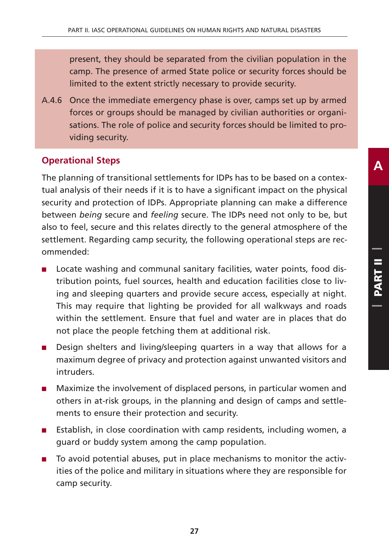present, they should be separated from the civilian population in the camp. The presence of armed State police or security forces should be limited to the extent strictly necessary to provide security.

A.4.6 Once the immediate emergency phase is over, camps set up by armed forces or groups should be managed by civilian authorities or organisations. The role of police and security forces should be limited to providing security.

#### **Operational Steps**

The planning of transitional settlements for IDPs has to be based on a contextual analysis of their needs if it is to have a significant impact on the physical security and protection of IDPs. Appropriate planning can make a difference between *being* secure and *feeling* secure. The IDPs need not only to be, but also to feel, secure and this relates directly to the general atmosphere of the settlement. Regarding camp security, the following operational steps are recommended:

- Locate washing and communal sanitary facilities, water points, food distribution points, fuel sources, health and education facilities close to living and sleeping quarters and provide secure access, especially at night. This may require that lighting be provided for all walkways and roads within the settlement. Ensure that fuel and water are in places that do not place the people fetching them at additional risk.
- Design shelters and living/sleeping quarters in a way that allows for a maximum degree of privacy and protection against unwanted visitors and intruders.
- Maximize the involvement of displaced persons, in particular women and others in at-risk groups, in the planning and design of camps and settlements to ensure their protection and security.
- Establish, in close coordination with camp residents, including women, a guard or buddy system among the camp population.
- To avoid potential abuses, put in place mechanisms to monitor the activities of the police and military in situations where they are responsible for camp security.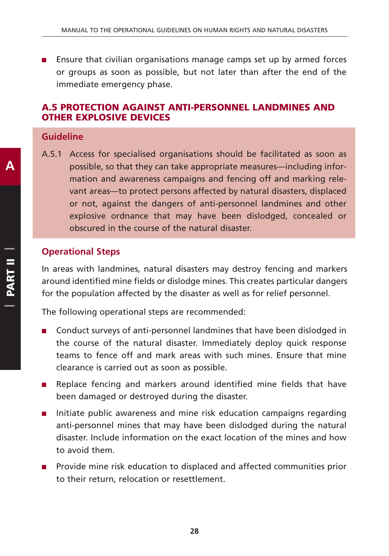Ensure that civilian organisations manage camps set up by armed forces or groups as soon as possible, but not later than after the end of the immediate emergency phase.

#### **A.5 PROTECTION AGAINST ANTI-PERSONNEL LANDMINES AND OTHER EXPLOSIVE DEVICES**

#### **Guideline**

A.5.1 Access for specialised organisations should be facilitated as soon as possible, so that they can take appropriate measures—including information and awareness campaigns and fencing off and marking relevant areas—to protect persons affected by natural disasters, displaced or not, against the dangers of anti-personnel landmines and other explosive ordnance that may have been dislodged, concealed or obscured in the course of the natural disaster.

#### **Operational Steps**

In areas with landmines, natural disasters may destroy fencing and markers around identified mine fields or dislodge mines. This creates particular dangers for the population affected by the disaster as well as for relief personnel.

The following operational steps are recommended:

- Conduct surveys of anti-personnel landmines that have been dislodged in the course of the natural disaster. Immediately deploy quick response teams to fence off and mark areas with such mines. Ensure that mine clearance is carried out as soon as possible.
- Replace fencing and markers around identified mine fields that have been damaged or destroyed during the disaster.
- Initiate public awareness and mine risk education campaigns regarding anti-personnel mines that may have been dislodged during the natural disaster. Include information on the exact location of the mines and how to avoid them.
- Provide mine risk education to displaced and affected communities prior to their return, relocation or resettlement.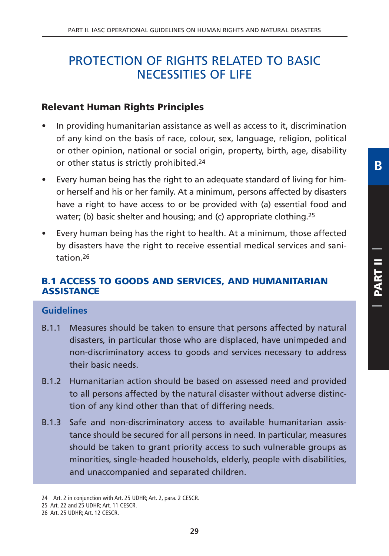# PROTECTION OF RIGHTS RELATED TO BASIC NECESSITIES OF LIFE

#### **Relevant Human Rights Principles**

- In providing humanitarian assistance as well as access to it, discrimination of any kind on the basis of race, colour, sex, language, religion, political or other opinion, national or social origin, property, birth, age, disability or other status is strictly prohibited.24
- Every human being has the right to an adequate standard of living for himor herself and his or her family. At a minimum, persons affected by disasters have a right to have access to or be provided with (a) essential food and water; (b) basic shelter and housing; and (c) appropriate clothing.<sup>25</sup>
- Every human being has the right to health. At a minimum, those affected by disasters have the right to receive essential medical services and sanitation.26

#### **B.1 ACCESS TO GOODS AND SERVICES, AND HUMANITARIAN ASSISTANCE**

#### **Guidelines**

- B.1.1 Measures should be taken to ensure that persons affected by natural disasters, in particular those who are displaced, have unimpeded and non-discriminatory access to goods and services necessary to address their basic needs.
- B.1.2 Humanitarian action should be based on assessed need and provided to all persons affected by the natural disaster without adverse distinction of any kind other than that of differing needs.
- B.1.3 Safe and non-discriminatory access to available humanitarian assistance should be secured for all persons in need. In particular, measures should be taken to grant priority access to such vulnerable groups as minorities, single-headed households, elderly, people with disabilities, and unaccompanied and separated children.

**B**

<sup>24</sup> Art. 2 in conjunction with Art. 25 UDHR; Art. 2, para. 2 CESCR.

<sup>25</sup> Art. 22 and 25 UDHR; Art. 11 CESCR.

<sup>26</sup> Art. 25 UDHR; Art. 12 CESCR.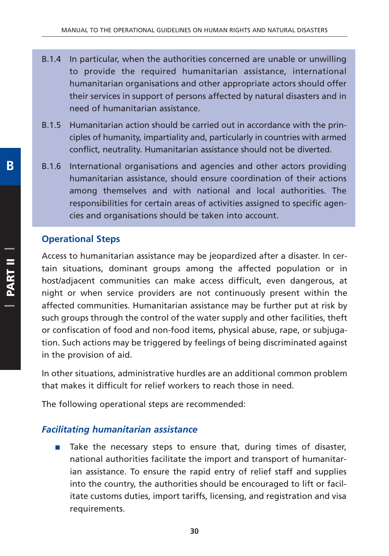- B.1.4 In particular, when the authorities concerned are unable or unwilling to provide the required humanitarian assistance, international humanitarian organisations and other appropriate actors should offer their services in support of persons affected by natural disasters and in need of humanitarian assistance.
- B.1.5 Humanitarian action should be carried out in accordance with the principles of humanity, impartiality and, particularly in countries with armed conflict, neutrality. Humanitarian assistance should not be diverted.
- B.1.6 International organisations and agencies and other actors providing humanitarian assistance, should ensure coordination of their actions among themselves and with national and local authorities. The responsibilities for certain areas of activities assigned to specific agencies and organisations should be taken into account.

#### **Operational Steps**

Access to humanitarian assistance may be jeopardized after a disaster. In certain situations, dominant groups among the affected population or in host/adjacent communities can make access difficult, even dangerous, at night or when service providers are not continuously present within the affected communities. Humanitarian assistance may be further put at risk by such groups through the control of the water supply and other facilities, theft or confiscation of food and non-food items, physical abuse, rape, or subjugation. Such actions may be triggered by feelings of being discriminated against in the provision of aid.

In other situations, administrative hurdles are an additional common problem that makes it difficult for relief workers to reach those in need.

The following operational steps are recommended:

#### *Facilitating humanitarian assistance*

■ Take the necessary steps to ensure that, during times of disaster, national authorities facilitate the import and transport of humanitarian assistance. To ensure the rapid entry of relief staff and supplies into the country, the authorities should be encouraged to lift or facilitate customs duties, import tariffs, licensing, and registration and visa requirements.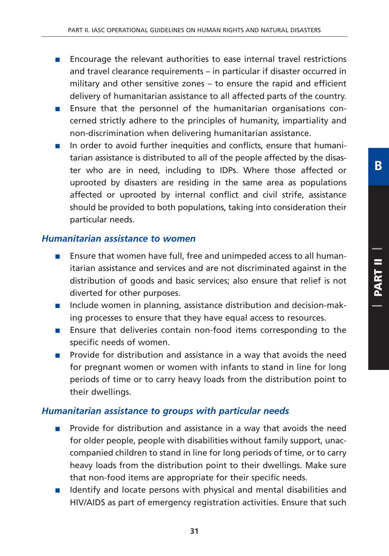- Encourage the relevant authorities to ease internal travel restrictions and travel clearance requirements – in particular if disaster occurred in military and other sensitive zones – to ensure the rapid and efficient delivery of humanitarian assistance to all affected parts of the country.
- Ensure that the personnel of the humanitarian organisations concerned strictly adhere to the principles of humanity, impartiality and non-discrimination when delivering humanitarian assistance.
- In order to avoid further inequities and conflicts, ensure that humanitarian assistance is distributed to all of the people affected by the disaster who are in need, including to IDPs. Where those affected or uprooted by disasters are residing in the same area as populations affected or uprooted by internal conflict and civil strife, assistance should be provided to both populations, taking into consideration their particular needs.

#### *Humanitarian assistance to women*

- Ensure that women have full, free and unimpeded access to all humanitarian assistance and services and are not discriminated against in the distribution of goods and basic services; also ensure that relief is not diverted for other purposes.
- Include women in planning, assistance distribution and decision-making processes to ensure that they have equal access to resources.
- Ensure that deliveries contain non-food items corresponding to the specific needs of women.
- Provide for distribution and assistance in a way that avoids the need for pregnant women or women with infants to stand in line for long periods of time or to carry heavy loads from the distribution point to their dwellings.

#### *Humanitarian assistance to groups with particular needs*

- Provide for distribution and assistance in a way that avoids the need for older people, people with disabilities without family support, unaccompanied children to stand in line for long periods of time, or to carry heavy loads from the distribution point to their dwellings. Make sure that non-food items are appropriate for their specific needs.
- Identify and locate persons with physical and mental disabilities and HIV/AIDS as part of emergency registration activities. Ensure that such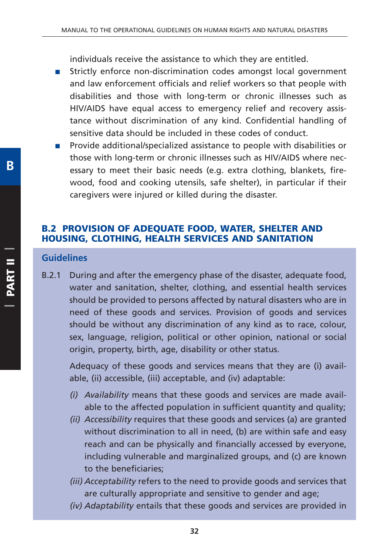individuals receive the assistance to which they are entitled.

- Strictly enforce non-discrimination codes amongst local government and law enforcement officials and relief workers so that people with disabilities and those with long-term or chronic illnesses such as HIV/AIDS have equal access to emergency relief and recovery assistance without discrimination of any kind. Confidential handling of sensitive data should be included in these codes of conduct.
- Provide additional/specialized assistance to people with disabilities or those with long-term or chronic illnesses such as HIV/AIDS where necessary to meet their basic needs (e.g. extra clothing, blankets, firewood, food and cooking utensils, safe shelter), in particular if their caregivers were injured or killed during the disaster.

#### **B.2 PROVISION OF ADEQUATE FOOD, WATER, SHELTER AND HOUSING, CLOTHING, HEALTH SERVICES AND SANITATION**

#### **Guidelines**

B.2.1 During and after the emergency phase of the disaster, adequate food, water and sanitation, shelter, clothing, and essential health services should be provided to persons affected by natural disasters who are in need of these goods and services. Provision of goods and services should be without any discrimination of any kind as to race, colour, sex, language, religion, political or other opinion, national or social origin, property, birth, age, disability or other status.

Adequacy of these goods and services means that they are (i) available, (ii) accessible, (iii) acceptable, and (iv) adaptable:

- *(i) Availability* means that these goods and services are made available to the affected population in sufficient quantity and quality;
- *(ii) Accessibility* requires that these goods and services (a) are granted without discrimination to all in need, (b) are within safe and easy reach and can be physically and financially accessed by everyone, including vulnerable and marginalized groups, and (c) are known to the beneficiaries;
- *(iii) Acceptability* refers to the need to provide goods and services that are culturally appropriate and sensitive to gender and age;
- *(iv) Adaptability* entails that these goods and services are provided in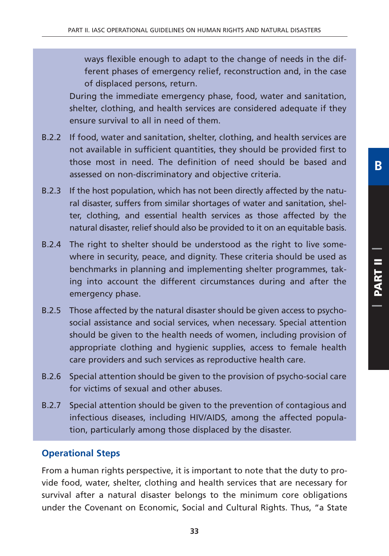ways flexible enough to adapt to the change of needs in the different phases of emergency relief, reconstruction and, in the case of displaced persons, return.

During the immediate emergency phase, food, water and sanitation, shelter, clothing, and health services are considered adequate if they ensure survival to all in need of them.

- B.2.2 If food, water and sanitation, shelter, clothing, and health services are not available in sufficient quantities, they should be provided first to those most in need. The definition of need should be based and assessed on non-discriminatory and objective criteria.
- B.2.3 If the host population, which has not been directly affected by the natural disaster, suffers from similar shortages of water and sanitation, shelter, clothing, and essential health services as those affected by the natural disaster, relief should also be provided to it on an equitable basis.
- B.2.4 The right to shelter should be understood as the right to live somewhere in security, peace, and dignity. These criteria should be used as benchmarks in planning and implementing shelter programmes, taking into account the different circumstances during and after the emergency phase.
- B.2.5 Those affected by the natural disaster should be given access to psychosocial assistance and social services, when necessary. Special attention should be given to the health needs of women, including provision of appropriate clothing and hygienic supplies, access to female health care providers and such services as reproductive health care.
- B.2.6 Special attention should be given to the provision of psycho-social care for victims of sexual and other abuses.
- B.2.7 Special attention should be given to the prevention of contagious and infectious diseases, including HIV/AIDS, among the affected population, particularly among those displaced by the disaster.

#### **Operational Steps**

From a human rights perspective, it is important to note that the duty to provide food, water, shelter, clothing and health services that are necessary for survival after a natural disaster belongs to the minimum core obligations under the Covenant on Economic, Social and Cultural Rights. Thus, "a State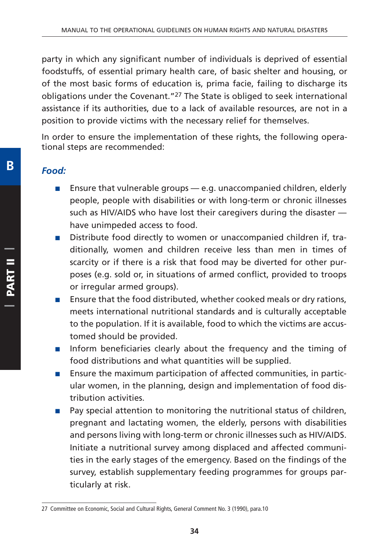party in which any significant number of individuals is deprived of essential foodstuffs, of essential primary health care, of basic shelter and housing, or of the most basic forms of education is, prima facie, failing to discharge its obligations under the Covenant."27 The State is obliged to seek international assistance if its authorities, due to a lack of available resources, are not in a position to provide victims with the necessary relief for themselves.

In order to ensure the implementation of these rights, the following operational steps are recommended:

#### *Food:*

- Ensure that vulnerable groups  $-$  e.g. unaccompanied children, elderly people, people with disabilities or with long-term or chronic illnesses such as HIV/AIDS who have lost their caregivers during the disaster have unimpeded access to food.
- Distribute food directly to women or unaccompanied children if, traditionally, women and children receive less than men in times of scarcity or if there is a risk that food may be diverted for other purposes (e.g. sold or, in situations of armed conflict, provided to troops or irregular armed groups).
- Ensure that the food distributed, whether cooked meals or dry rations, meets international nutritional standards and is culturally acceptable to the population. If it is available, food to which the victims are accustomed should be provided.
- Inform beneficiaries clearly about the frequency and the timing of food distributions and what quantities will be supplied.
- Ensure the maximum participation of affected communities, in particular women, in the planning, design and implementation of food distribution activities.
- Pay special attention to monitoring the nutritional status of children, pregnant and lactating women, the elderly, persons with disabilities and persons living with long-term or chronic illnesses such as HIV/AIDS. Initiate a nutritional survey among displaced and affected communities in the early stages of the emergency. Based on the findings of the survey, establish supplementary feeding programmes for groups particularly at risk.

<sup>27</sup> Committee on Economic, Social and Cultural Rights, General Comment No. 3 (1990), para.10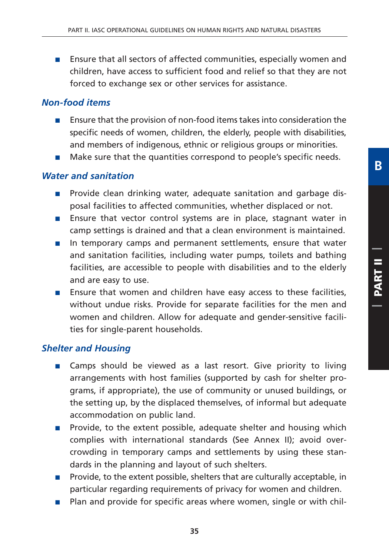■ Ensure that all sectors of affected communities, especially women and children, have access to sufficient food and relief so that they are not forced to exchange sex or other services for assistance.

#### *Non-food items*

- Ensure that the provision of non-food items takes into consideration the specific needs of women, children, the elderly, people with disabilities, and members of indigenous, ethnic or religious groups or minorities.
- Make sure that the quantities correspond to people's specific needs.

#### *Water and sanitation*

- Provide clean drinking water, adequate sanitation and garbage disposal facilities to affected communities, whether displaced or not.
- Ensure that vector control systems are in place, stagnant water in camp settings is drained and that a clean environment is maintained.
- In temporary camps and permanent settlements, ensure that water and sanitation facilities, including water pumps, toilets and bathing facilities, are accessible to people with disabilities and to the elderly and are easy to use.
- Ensure that women and children have easy access to these facilities, without undue risks. Provide for separate facilities for the men and women and children. Allow for adequate and gender-sensitive facilities for single-parent households.

#### *Shelter and Housing*

- Camps should be viewed as a last resort. Give priority to living arrangements with host families (supported by cash for shelter programs, if appropriate), the use of community or unused buildings, or the setting up, by the displaced themselves, of informal but adequate accommodation on public land.
- Provide, to the extent possible, adequate shelter and housing which complies with international standards (See Annex II); avoid overcrowding in temporary camps and settlements by using these standards in the planning and layout of such shelters.
- Provide, to the extent possible, shelters that are culturally acceptable, in particular regarding requirements of privacy for women and children.
- Plan and provide for specific areas where women, single or with chil-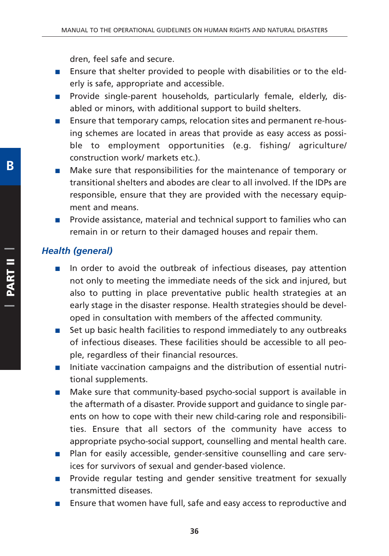dren, feel safe and secure.

- Ensure that shelter provided to people with disabilities or to the elderly is safe, appropriate and accessible.
- Provide single-parent households, particularly female, elderly, disabled or minors, with additional support to build shelters.
- Ensure that temporary camps, relocation sites and permanent re-housing schemes are located in areas that provide as easy access as possible to employment opportunities (e.g. fishing/ agriculture/ construction work/ markets etc.).
- Make sure that responsibilities for the maintenance of temporary or transitional shelters and abodes are clear to all involved. If the IDPs are responsible, ensure that they are provided with the necessary equipment and means.
- Provide assistance, material and technical support to families who can remain in or return to their damaged houses and repair them.

## *Health (general)*

- In order to avoid the outbreak of infectious diseases, pay attention not only to meeting the immediate needs of the sick and injured, but also to putting in place preventative public health strategies at an early stage in the disaster response. Health strategies should be developed in consultation with members of the affected community.
- Set up basic health facilities to respond immediately to any outbreaks of infectious diseases. These facilities should be accessible to all people, regardless of their financial resources.
- Initiate vaccination campaigns and the distribution of essential nutritional supplements.
- Make sure that community-based psycho-social support is available in the aftermath of a disaster. Provide support and guidance to single parents on how to cope with their new child-caring role and responsibilities. Ensure that all sectors of the community have access to appropriate psycho-social support, counselling and mental health care.
- Plan for easily accessible, gender-sensitive counselling and care services for survivors of sexual and gender-based violence.
- Provide regular testing and gender sensitive treatment for sexually transmitted diseases.
- Ensure that women have full, safe and easy access to reproductive and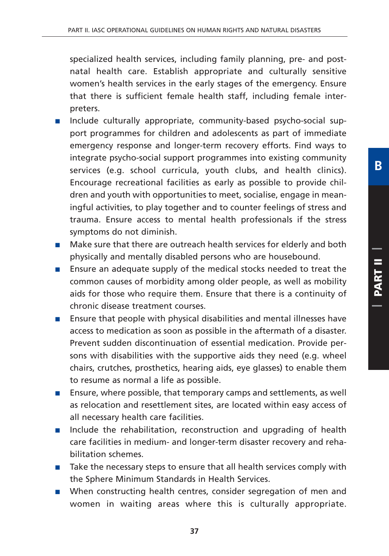specialized health services, including family planning, pre- and postnatal health care. Establish appropriate and culturally sensitive women's health services in the early stages of the emergency. Ensure that there is sufficient female health staff, including female interpreters.

- Include culturally appropriate, community-based psycho-social support programmes for children and adolescents as part of immediate emergency response and longer-term recovery efforts. Find ways to integrate psycho-social support programmes into existing community services (e.g. school curricula, youth clubs, and health clinics). Encourage recreational facilities as early as possible to provide children and youth with opportunities to meet, socialise, engage in meaningful activities, to play together and to counter feelings of stress and trauma. Ensure access to mental health professionals if the stress symptoms do not diminish.
- Make sure that there are outreach health services for elderly and both physically and mentally disabled persons who are housebound.
- Ensure an adequate supply of the medical stocks needed to treat the common causes of morbidity among older people, as well as mobility aids for those who require them. Ensure that there is a continuity of chronic disease treatment courses.
- Ensure that people with physical disabilities and mental illnesses have access to medication as soon as possible in the aftermath of a disaster. Prevent sudden discontinuation of essential medication. Provide persons with disabilities with the supportive aids they need (e.g. wheel chairs, crutches, prosthetics, hearing aids, eye glasses) to enable them to resume as normal a life as possible.
- Ensure, where possible, that temporary camps and settlements, as well as relocation and resettlement sites, are located within easy access of all necessary health care facilities.
- Include the rehabilitation, reconstruction and upgrading of health care facilities in medium- and longer-term disaster recovery and rehabilitation schemes.
- Take the necessary steps to ensure that all health services comply with the Sphere Minimum Standards in Health Services.
- When constructing health centres, consider segregation of men and women in waiting areas where this is culturally appropriate.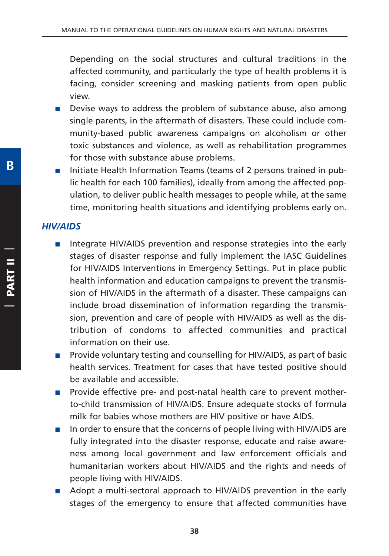Depending on the social structures and cultural traditions in the affected community, and particularly the type of health problems it is facing, consider screening and masking patients from open public view.

- Devise ways to address the problem of substance abuse, also among single parents, in the aftermath of disasters. These could include community-based public awareness campaigns on alcoholism or other toxic substances and violence, as well as rehabilitation programmes for those with substance abuse problems.
- Initiate Health Information Teams (teams of 2 persons trained in public health for each 100 families), ideally from among the affected population, to deliver public health messages to people while, at the same time, monitoring health situations and identifying problems early on.

#### *HIV/AIDS*

- Integrate HIV/AIDS prevention and response strategies into the early stages of disaster response and fully implement the IASC Guidelines for HIV/AIDS Interventions in Emergency Settings. Put in place public health information and education campaigns to prevent the transmission of HIV/AIDS in the aftermath of a disaster. These campaigns can include broad dissemination of information regarding the transmission, prevention and care of people with HIV/AIDS as well as the distribution of condoms to affected communities and practical information on their use.
- Provide voluntary testing and counselling for HIV/AIDS, as part of basic health services. Treatment for cases that have tested positive should be available and accessible.
- Provide effective pre- and post-natal health care to prevent motherto-child transmission of HIV/AIDS. Ensure adequate stocks of formula milk for babies whose mothers are HIV positive or have AIDS.
- In order to ensure that the concerns of people living with HIV/AIDS are fully integrated into the disaster response, educate and raise awareness among local government and law enforcement officials and humanitarian workers about HIV/AIDS and the rights and needs of people living with HIV/AIDS.
- Adopt a multi-sectoral approach to HIV/AIDS prevention in the early stages of the emergency to ensure that affected communities have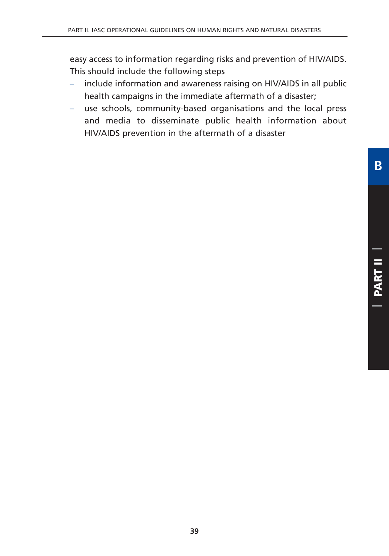easy access to information regarding risks and prevention of HIV/AIDS. This should include the following steps

- include information and awareness raising on HIV/AIDS in all public health campaigns in the immediate aftermath of a disaster;
- use schools, community-based organisations and the local press and media to disseminate public health information about HIV/AIDS prevention in the aftermath of a disaster

**B**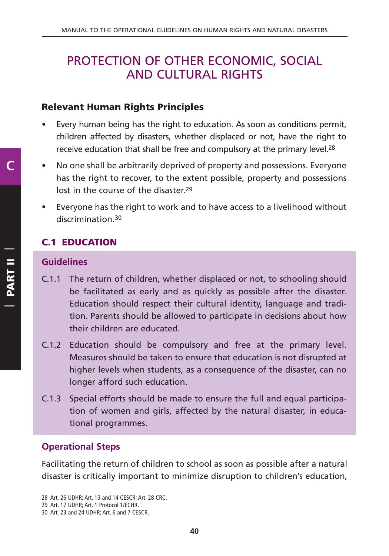# PROTECTION OF OTHER ECONOMIC, SOCIAL AND CULTURAL RIGHTS

#### **Relevant Human Rights Principles**

- Every human being has the right to education. As soon as conditions permit, children affected by disasters, whether displaced or not, have the right to receive education that shall be free and compulsory at the primary level.<sup>28</sup>
- No one shall be arbitrarily deprived of property and possessions. Everyone has the right to recover, to the extent possible, property and possessions lost in the course of the disaster.29
- Everyone has the right to work and to have access to a livelihood without discrimination.30

## **C.1 EDUCATION**

#### **Guidelines**

- C.1.1 The return of children, whether displaced or not, to schooling should be facilitated as early and as quickly as possible after the disaster. Education should respect their cultural identity, language and tradition. Parents should be allowed to participate in decisions about how their children are educated.
- C.1.2 Education should be compulsory and free at the primary level. Measures should be taken to ensure that education is not disrupted at higher levels when students, as a consequence of the disaster, can no longer afford such education.
- C.1.3 Special efforts should be made to ensure the full and equal participation of women and girls, affected by the natural disaster, in educational programmes.

#### **Operational Steps**

Facilitating the return of children to school as soon as possible after a natural disaster is critically important to minimize disruption to children's education,

**C**

<sup>28</sup> Art. 26 UDHR; Art. 13 and 14 CESCR; Art. 28 CRC.

<sup>29</sup> Art. 17 UDHR; Art. 1 Protocol 1/ECHR.

<sup>30</sup> Art. 23 and 24 UDHR; Art. 6 and 7 CESCR.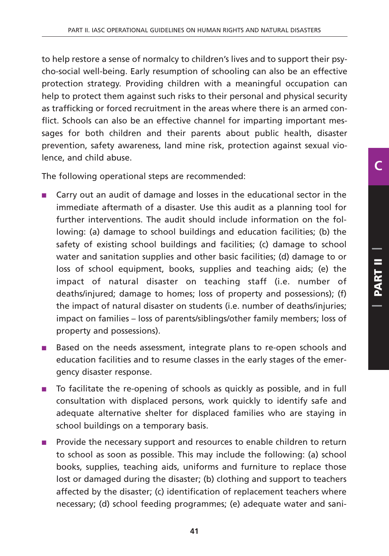to help restore a sense of normalcy to children's lives and to support their psycho-social well-being. Early resumption of schooling can also be an effective protection strategy. Providing children with a meaningful occupation can help to protect them against such risks to their personal and physical security as trafficking or forced recruitment in the areas where there is an armed conflict. Schools can also be an effective channel for imparting important messages for both children and their parents about public health, disaster prevention, safety awareness, land mine risk, protection against sexual violence, and child abuse.

The following operational steps are recommended:

- Carry out an audit of damage and losses in the educational sector in the immediate aftermath of a disaster. Use this audit as a planning tool for further interventions. The audit should include information on the following: (a) damage to school buildings and education facilities; (b) the safety of existing school buildings and facilities; (c) damage to school water and sanitation supplies and other basic facilities; (d) damage to or loss of school equipment, books, supplies and teaching aids; (e) the impact of natural disaster on teaching staff (i.e. number of deaths/injured; damage to homes; loss of property and possessions); (f) the impact of natural disaster on students (i.e. number of deaths/injuries; impact on families – loss of parents/siblings/other family members; loss of property and possessions).
- Based on the needs assessment, integrate plans to re-open schools and education facilities and to resume classes in the early stages of the emergency disaster response.
- To facilitate the re-opening of schools as quickly as possible, and in full consultation with displaced persons, work quickly to identify safe and adequate alternative shelter for displaced families who are staying in school buildings on a temporary basis.
- Provide the necessary support and resources to enable children to return to school as soon as possible. This may include the following: (a) school books, supplies, teaching aids, uniforms and furniture to replace those lost or damaged during the disaster; (b) clothing and support to teachers affected by the disaster; (c) identification of replacement teachers where necessary; (d) school feeding programmes; (e) adequate water and sani-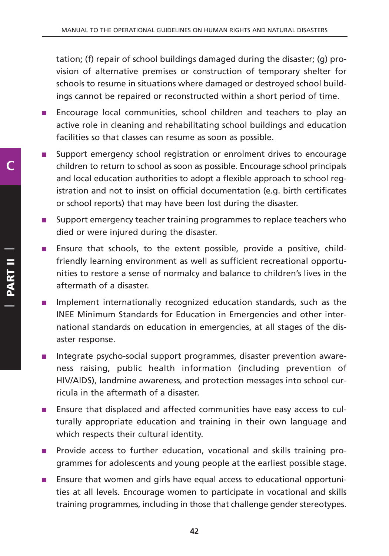tation; (f) repair of school buildings damaged during the disaster; (g) provision of alternative premises or construction of temporary shelter for schools to resume in situations where damaged or destroyed school buildings cannot be repaired or reconstructed within a short period of time.

- Encourage local communities, school children and teachers to play an active role in cleaning and rehabilitating school buildings and education facilities so that classes can resume as soon as possible.
- Support emergency school registration or enrolment drives to encourage children to return to school as soon as possible. Encourage school principals and local education authorities to adopt a flexible approach to school registration and not to insist on official documentation (e.g. birth certificates or school reports) that may have been lost during the disaster.
- Support emergency teacher training programmes to replace teachers who died or were injured during the disaster.
- Ensure that schools, to the extent possible, provide a positive, childfriendly learning environment as well as sufficient recreational opportunities to restore a sense of normalcy and balance to children's lives in the aftermath of a disaster.
- Implement internationally recognized education standards, such as the INEE Minimum Standards for Education in Emergencies and other international standards on education in emergencies, at all stages of the disaster response.
- Integrate psycho-social support programmes, disaster prevention awareness raising, public health information (including prevention of HIV/AIDS), landmine awareness, and protection messages into school curricula in the aftermath of a disaster.
- Ensure that displaced and affected communities have easy access to culturally appropriate education and training in their own language and which respects their cultural identity.
- Provide access to further education, vocational and skills training programmes for adolescents and young people at the earliest possible stage.
- Ensure that women and girls have equal access to educational opportunities at all levels. Encourage women to participate in vocational and skills training programmes, including in those that challenge gender stereotypes.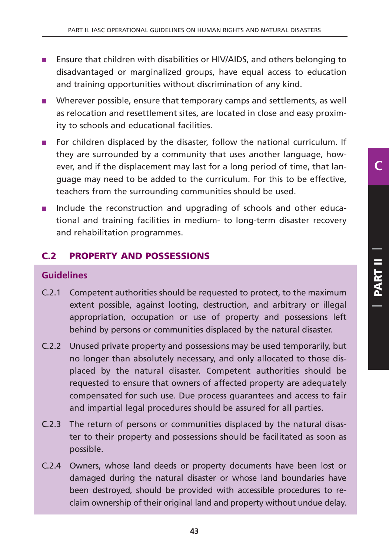- Ensure that children with disabilities or HIV/AIDS, and others belonging to disadvantaged or marginalized groups, have equal access to education and training opportunities without discrimination of any kind.
- Wherever possible, ensure that temporary camps and settlements, as well as relocation and resettlement sites, are located in close and easy proximity to schools and educational facilities.
- For children displaced by the disaster, follow the national curriculum. If they are surrounded by a community that uses another language, however, and if the displacement may last for a long period of time, that language may need to be added to the curriculum. For this to be effective, teachers from the surrounding communities should be used.
- Include the reconstruction and upgrading of schools and other educational and training facilities in medium- to long-term disaster recovery and rehabilitation programmes.

#### **C.2 PROPERTY AND POSSESSIONS**

#### **Guidelines**

- C.2.1 Competent authorities should be requested to protect, to the maximum extent possible, against looting, destruction, and arbitrary or illegal appropriation, occupation or use of property and possessions left behind by persons or communities displaced by the natural disaster.
- C.2.2 Unused private property and possessions may be used temporarily, but no longer than absolutely necessary, and only allocated to those displaced by the natural disaster. Competent authorities should be requested to ensure that owners of affected property are adequately compensated for such use. Due process guarantees and access to fair and impartial legal procedures should be assured for all parties.
- C.2.3 The return of persons or communities displaced by the natural disaster to their property and possessions should be facilitated as soon as possible.
- C.2.4 Owners, whose land deeds or property documents have been lost or damaged during the natural disaster or whose land boundaries have been destroyed, should be provided with accessible procedures to reclaim ownership of their original land and property without undue delay.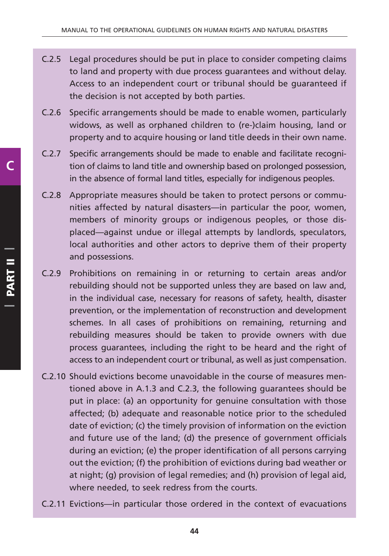- C.2.5 Legal procedures should be put in place to consider competing claims to land and property with due process guarantees and without delay. Access to an independent court or tribunal should be guaranteed if the decision is not accepted by both parties.
- C.2.6 Specific arrangements should be made to enable women, particularly widows, as well as orphaned children to (re-)claim housing, land or property and to acquire housing or land title deeds in their own name.
- C.2.7 Specific arrangements should be made to enable and facilitate recognition of claims to land title and ownership based on prolonged possession, in the absence of formal land titles, especially for indigenous peoples.
- C.2.8 Appropriate measures should be taken to protect persons or communities affected by natural disasters—in particular the poor, women, members of minority groups or indigenous peoples, or those displaced—against undue or illegal attempts by landlords, speculators, local authorities and other actors to deprive them of their property and possessions.
- C.2.9 Prohibitions on remaining in or returning to certain areas and/or rebuilding should not be supported unless they are based on law and, in the individual case, necessary for reasons of safety, health, disaster prevention, or the implementation of reconstruction and development schemes. In all cases of prohibitions on remaining, returning and rebuilding measures should be taken to provide owners with due process guarantees, including the right to be heard and the right of access to an independent court or tribunal, as well as just compensation.
- C.2.10 Should evictions become unavoidable in the course of measures mentioned above in A.1.3 and C.2.3, the following guarantees should be put in place: (a) an opportunity for genuine consultation with those affected; (b) adequate and reasonable notice prior to the scheduled date of eviction; (c) the timely provision of information on the eviction and future use of the land; (d) the presence of government officials during an eviction; (e) the proper identification of all persons carrying out the eviction; (f) the prohibition of evictions during bad weather or at night; (g) provision of legal remedies; and (h) provision of legal aid, where needed, to seek redress from the courts.
- C.2.11 Evictions—in particular those ordered in the context of evacuations

**C**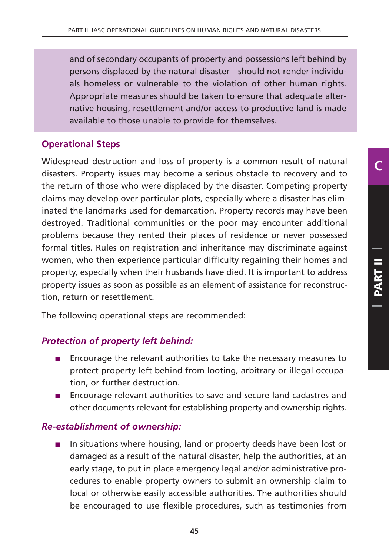and of secondary occupants of property and possessions left behind by persons displaced by the natural disaster—should not render individuals homeless or vulnerable to the violation of other human rights. Appropriate measures should be taken to ensure that adequate alternative housing, resettlement and/or access to productive land is made available to those unable to provide for themselves.

## **Operational Steps**

Widespread destruction and loss of property is a common result of natural disasters. Property issues may become a serious obstacle to recovery and to the return of those who were displaced by the disaster. Competing property claims may develop over particular plots, especially where a disaster has eliminated the landmarks used for demarcation. Property records may have been destroyed. Traditional communities or the poor may encounter additional problems because they rented their places of residence or never possessed formal titles. Rules on registration and inheritance may discriminate against women, who then experience particular difficulty regaining their homes and property, especially when their husbands have died. It is important to address property issues as soon as possible as an element of assistance for reconstruction, return or resettlement.

The following operational steps are recommended:

## *Protection of property left behind:*

- Encourage the relevant authorities to take the necessary measures to protect property left behind from looting, arbitrary or illegal occupation, or further destruction.
- Encourage relevant authorities to save and secure land cadastres and other documents relevant for establishing property and ownership rights.

#### *Re-establishment of ownership:*

■ In situations where housing, land or property deeds have been lost or damaged as a result of the natural disaster, help the authorities, at an early stage, to put in place emergency legal and/or administrative procedures to enable property owners to submit an ownership claim to local or otherwise easily accessible authorities. The authorities should be encouraged to use flexible procedures, such as testimonies from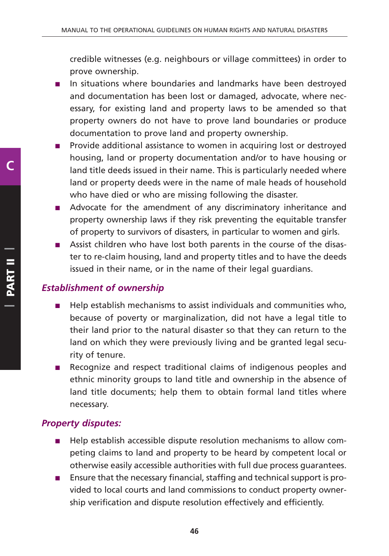credible witnesses (e.g. neighbours or village committees) in order to prove ownership.

- In situations where boundaries and landmarks have been destroyed and documentation has been lost or damaged, advocate, where necessary, for existing land and property laws to be amended so that property owners do not have to prove land boundaries or produce documentation to prove land and property ownership.
- Provide additional assistance to women in acquiring lost or destroyed housing, land or property documentation and/or to have housing or land title deeds issued in their name. This is particularly needed where land or property deeds were in the name of male heads of household who have died or who are missing following the disaster.
- Advocate for the amendment of any discriminatory inheritance and property ownership laws if they risk preventing the equitable transfer of property to survivors of disasters, in particular to women and girls.
- Assist children who have lost both parents in the course of the disaster to re-claim housing, land and property titles and to have the deeds issued in their name, or in the name of their legal guardians.

#### *Establishment of ownership*

- Help establish mechanisms to assist individuals and communities who, because of poverty or marginalization, did not have a legal title to their land prior to the natural disaster so that they can return to the land on which they were previously living and be granted legal security of tenure.
- Recognize and respect traditional claims of indigenous peoples and ethnic minority groups to land title and ownership in the absence of land title documents; help them to obtain formal land titles where necessary.

#### *Property disputes:*

- Help establish accessible dispute resolution mechanisms to allow competing claims to land and property to be heard by competent local or otherwise easily accessible authorities with full due process guarantees.
- Ensure that the necessary financial, staffing and technical support is provided to local courts and land commissions to conduct property ownership verification and dispute resolution effectively and efficiently.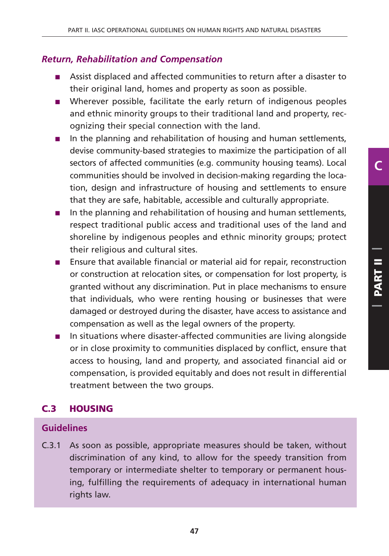## *Return, Rehabilitation and Compensation*

- Assist displaced and affected communities to return after a disaster to their original land, homes and property as soon as possible.
- Wherever possible, facilitate the early return of indigenous peoples and ethnic minority groups to their traditional land and property, recognizing their special connection with the land.
- In the planning and rehabilitation of housing and human settlements, devise community-based strategies to maximize the participation of all sectors of affected communities (e.g. community housing teams). Local communities should be involved in decision-making regarding the location, design and infrastructure of housing and settlements to ensure that they are safe, habitable, accessible and culturally appropriate.
- In the planning and rehabilitation of housing and human settlements, respect traditional public access and traditional uses of the land and shoreline by indigenous peoples and ethnic minority groups; protect their religious and cultural sites.
- Ensure that available financial or material aid for repair, reconstruction or construction at relocation sites, or compensation for lost property, is granted without any discrimination. Put in place mechanisms to ensure that individuals, who were renting housing or businesses that were damaged or destroyed during the disaster, have access to assistance and compensation as well as the legal owners of the property.
- In situations where disaster-affected communities are living alongside or in close proximity to communities displaced by conflict, ensure that access to housing, land and property, and associated financial aid or compensation, is provided equitably and does not result in differential treatment between the two groups.

## **C.3 HOUSING**

#### **Guidelines**

C.3.1 As soon as possible, appropriate measures should be taken, without discrimination of any kind, to allow for the speedy transition from temporary or intermediate shelter to temporary or permanent housing, fulfilling the requirements of adequacy in international human rights law.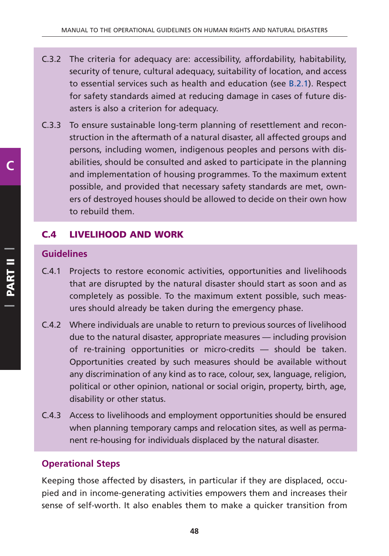- C.3.2 The criteria for adequacy are: accessibility, affordability, habitability, security of tenure, cultural adequacy, suitability of location, and access to essential services such as health and education (see B.2.1). Respect for safety standards aimed at reducing damage in cases of future disasters is also a criterion for adequacy.
- C.3.3 To ensure sustainable long-term planning of resettlement and reconstruction in the aftermath of a natural disaster, all affected groups and persons, including women, indigenous peoples and persons with disabilities, should be consulted and asked to participate in the planning and implementation of housing programmes. To the maximum extent possible, and provided that necessary safety standards are met, owners of destroyed houses should be allowed to decide on their own how to rebuild them.

## **C.4 LIVELIHOOD AND WORK**

#### **Guidelines**

- C.4.1 Projects to restore economic activities, opportunities and livelihoods that are disrupted by the natural disaster should start as soon and as completely as possible. To the maximum extent possible, such measures should already be taken during the emergency phase.
- C.4.2 Where individuals are unable to return to previous sources of livelihood due to the natural disaster, appropriate measures — including provision of re-training opportunities or micro-credits — should be taken. Opportunities created by such measures should be available without any discrimination of any kind as to race, colour, sex, language, religion, political or other opinion, national or social origin, property, birth, age, disability or other status.
- C.4.3 Access to livelihoods and employment opportunities should be ensured when planning temporary camps and relocation sites, as well as permanent re-housing for individuals displaced by the natural disaster.

#### **Operational Steps**

Keeping those affected by disasters, in particular if they are displaced, occupied and in income-generating activities empowers them and increases their sense of self-worth. It also enables them to make a quicker transition from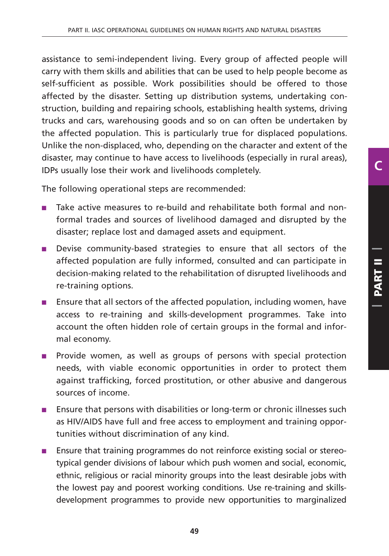assistance to semi-independent living. Every group of affected people will carry with them skills and abilities that can be used to help people become as self-sufficient as possible. Work possibilities should be offered to those affected by the disaster. Setting up distribution systems, undertaking construction, building and repairing schools, establishing health systems, driving trucks and cars, warehousing goods and so on can often be undertaken by the affected population. This is particularly true for displaced populations. Unlike the non-displaced, who, depending on the character and extent of the disaster, may continue to have access to livelihoods (especially in rural areas), IDPs usually lose their work and livelihoods completely.

The following operational steps are recommended:

- Take active measures to re-build and rehabilitate both formal and nonformal trades and sources of livelihood damaged and disrupted by the disaster; replace lost and damaged assets and equipment.
- Devise community-based strategies to ensure that all sectors of the affected population are fully informed, consulted and can participate in decision-making related to the rehabilitation of disrupted livelihoods and re-training options.
- Ensure that all sectors of the affected population, including women, have access to re-training and skills-development programmes. Take into account the often hidden role of certain groups in the formal and informal economy.
- Provide women, as well as groups of persons with special protection needs, with viable economic opportunities in order to protect them against trafficking, forced prostitution, or other abusive and dangerous sources of income.
- Ensure that persons with disabilities or long-term or chronic illnesses such as HIV/AIDS have full and free access to employment and training opportunities without discrimination of any kind.
- Ensure that training programmes do not reinforce existing social or stereotypical gender divisions of labour which push women and social, economic, ethnic, religious or racial minority groups into the least desirable jobs with the lowest pay and poorest working conditions. Use re-training and skillsdevelopment programmes to provide new opportunities to marginalized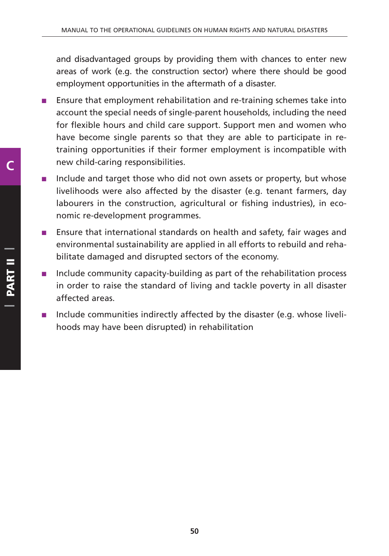and disadvantaged groups by providing them with chances to enter new areas of work (e.g. the construction sector) where there should be good employment opportunities in the aftermath of a disaster.

- Ensure that employment rehabilitation and re-training schemes take into account the special needs of single-parent households, including the need for flexible hours and child care support. Support men and women who have become single parents so that they are able to participate in retraining opportunities if their former employment is incompatible with new child-caring responsibilities.
- Include and target those who did not own assets or property, but whose livelihoods were also affected by the disaster (e.g. tenant farmers, day labourers in the construction, agricultural or fishing industries), in economic re-development programmes.
- Ensure that international standards on health and safety, fair wages and environmental sustainability are applied in all efforts to rebuild and rehabilitate damaged and disrupted sectors of the economy.
- Include community capacity-building as part of the rehabilitation process in order to raise the standard of living and tackle poverty in all disaster affected areas.
- Include communities indirectly affected by the disaster (e.g. whose livelihoods may have been disrupted) in rehabilitation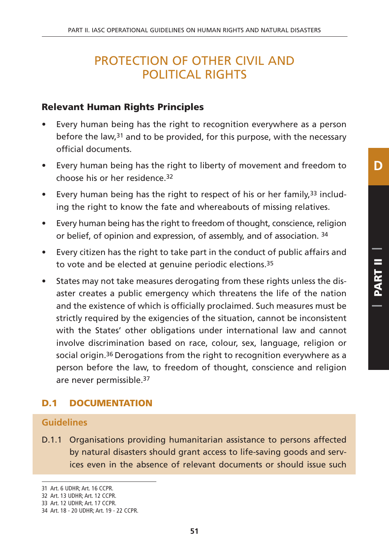# PROTECTION OF OTHER CIVIL AND POLITICAL RIGHTS

#### **Relevant Human Rights Principles**

- Every human being has the right to recognition everywhere as a person before the law,31 and to be provided, for this purpose, with the necessary official documents.
- Every human being has the right to liberty of movement and freedom to choose his or her residence.32

**D**

 **PART II |PART II** 

- Every human being has the right to respect of his or her family,<sup>33</sup> including the right to know the fate and whereabouts of missing relatives.
- Every human being has the right to freedom of thought, conscience, religion or belief, of opinion and expression, of assembly, and of association. 34
- Every citizen has the right to take part in the conduct of public affairs and to vote and be elected at genuine periodic elections.35
- States may not take measures derogating from these rights unless the disaster creates a public emergency which threatens the life of the nation and the existence of which is officially proclaimed. Such measures must be strictly required by the exigencies of the situation, cannot be inconsistent with the States' other obligations under international law and cannot involve discrimination based on race, colour, sex, language, religion or social origin.36 Derogations from the right to recognition everywhere as a person before the law, to freedom of thought, conscience and religion are never permissible.37

## **D.1 DOCUMENTATION**

#### **Guidelines**

D.1.1 Organisations providing humanitarian assistance to persons affected by natural disasters should grant access to life-saving goods and services even in the absence of relevant documents or should issue such

<sup>31</sup> Art. 6 UDHR; Art. 16 CCPR.

<sup>32</sup> Art. 13 UDHR; Art. 12 CCPR.

<sup>33</sup> Art. 12 UDHR; Art. 17 CCPR.

<sup>34</sup> Art. 18 - 20 UDHR; Art. 19 - 22 CCPR.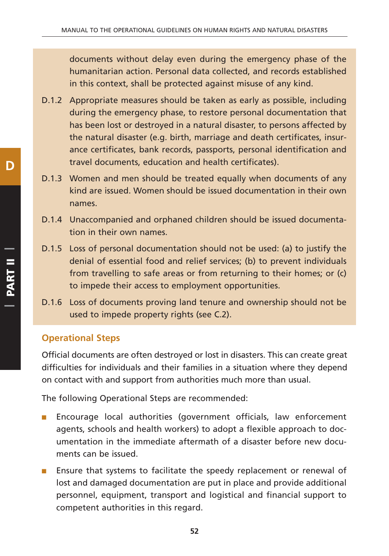documents without delay even during the emergency phase of the humanitarian action. Personal data collected, and records established in this context, shall be protected against misuse of any kind.

- D.1.2 Appropriate measures should be taken as early as possible, including during the emergency phase, to restore personal documentation that has been lost or destroyed in a natural disaster, to persons affected by the natural disaster (e.g. birth, marriage and death certificates, insurance certificates, bank records, passports, personal identification and travel documents, education and health certificates).
- D.1.3 Women and men should be treated equally when documents of any kind are issued. Women should be issued documentation in their own names.
- D.1.4 Unaccompanied and orphaned children should be issued documentation in their own names.
- D.1.5 Loss of personal documentation should not be used: (a) to justify the denial of essential food and relief services; (b) to prevent individuals from travelling to safe areas or from returning to their homes; or (c) to impede their access to employment opportunities.
- D.1.6 Loss of documents proving land tenure and ownership should not be used to impede property rights (see C.2).

## **Operational Steps**

Official documents are often destroyed or lost in disasters. This can create great difficulties for individuals and their families in a situation where they depend on contact with and support from authorities much more than usual.

The following Operational Steps are recommended:

- Encourage local authorities (government officials, law enforcement agents, schools and health workers) to adopt a flexible approach to documentation in the immediate aftermath of a disaster before new documents can be issued.
- Ensure that systems to facilitate the speedy replacement or renewal of lost and damaged documentation are put in place and provide additional personnel, equipment, transport and logistical and financial support to competent authorities in this regard.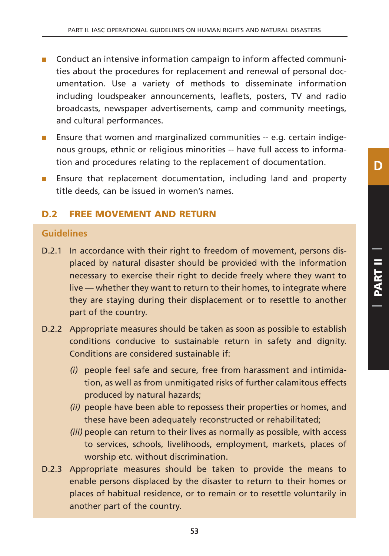- Conduct an intensive information campaign to inform affected communities about the procedures for replacement and renewal of personal documentation. Use a variety of methods to disseminate information including loudspeaker announcements, leaflets, posters, TV and radio broadcasts, newspaper advertisements, camp and community meetings, and cultural performances.
- **■** Ensure that women and marginalized communities  $-$  e.g. certain indigenous groups, ethnic or religious minorities -- have full access to information and procedures relating to the replacement of documentation.
- Ensure that replacement documentation, including land and property title deeds, can be issued in women's names.

#### **D.2 FREE MOVEMENT AND RETURN**

#### **Guidelines**

- D.2.1 In accordance with their right to freedom of movement, persons displaced by natural disaster should be provided with the information necessary to exercise their right to decide freely where they want to live — whether they want to return to their homes, to integrate where they are staying during their displacement or to resettle to another part of the country.
- D.2.2 Appropriate measures should be taken as soon as possible to establish conditions conducive to sustainable return in safety and dignity. Conditions are considered sustainable if:
	- *(i)* people feel safe and secure, free from harassment and intimidation, as well as from unmitigated risks of further calamitous effects produced by natural hazards;
	- *(ii)* people have been able to repossess their properties or homes, and these have been adequately reconstructed or rehabilitated;
	- *(iii)* people can return to their lives as normally as possible, with access to services, schools, livelihoods, employment, markets, places of worship etc. without discrimination.
- D.2.3 Appropriate measures should be taken to provide the means to enable persons displaced by the disaster to return to their homes or places of habitual residence, or to remain or to resettle voluntarily in another part of the country.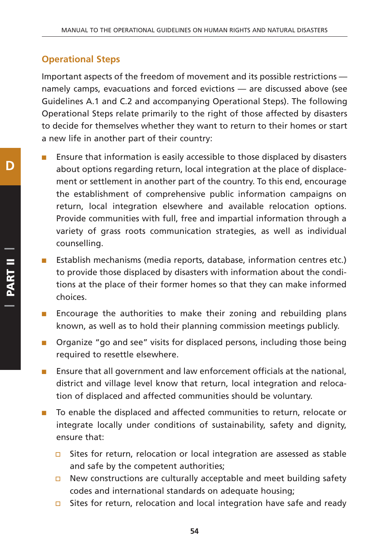## **Operational Steps**

Important aspects of the freedom of movement and its possible restrictions namely camps, evacuations and forced evictions — are discussed above (see Guidelines A.1 and C.2 and accompanying Operational Steps). The following Operational Steps relate primarily to the right of those affected by disasters to decide for themselves whether they want to return to their homes or start a new life in another part of their country:

- Ensure that information is easily accessible to those displaced by disasters about options regarding return, local integration at the place of displacement or settlement in another part of the country. To this end, encourage the establishment of comprehensive public information campaigns on return, local integration elsewhere and available relocation options. Provide communities with full, free and impartial information through a variety of grass roots communication strategies, as well as individual counselling.
- Establish mechanisms (media reports, database, information centres etc.) to provide those displaced by disasters with information about the conditions at the place of their former homes so that they can make informed choices.
- Encourage the authorities to make their zoning and rebuilding plans known, as well as to hold their planning commission meetings publicly.
- Organize "go and see" visits for displaced persons, including those being required to resettle elsewhere.
- Ensure that all government and law enforcement officials at the national, district and village level know that return, local integration and relocation of displaced and affected communities should be voluntary.
- To enable the displaced and affected communities to return, relocate or integrate locally under conditions of sustainability, safety and dignity, ensure that:
	- $\Box$  Sites for return, relocation or local integration are assessed as stable and safe by the competent authorities;
	- - New constructions are culturally acceptable and meet building safety codes and international standards on adequate housing;
	- -Sites for return, relocation and local integration have safe and ready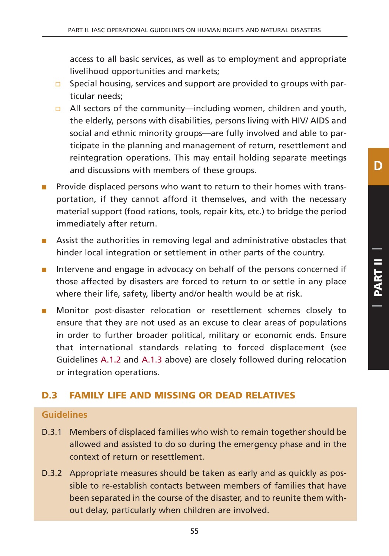access to all basic services, as well as to employment and appropriate livelihood opportunities and markets;

- □ Special housing, services and support are provided to groups with particular needs;
- □ All sectors of the community—including women, children and youth, the elderly, persons with disabilities, persons living with HIV/ AIDS and social and ethnic minority groups—are fully involved and able to participate in the planning and management of return, resettlement and reintegration operations. This may entail holding separate meetings and discussions with members of these groups.
- Provide displaced persons who want to return to their homes with transportation, if they cannot afford it themselves, and with the necessary material support (food rations, tools, repair kits, etc.) to bridge the period immediately after return.
- Assist the authorities in removing legal and administrative obstacles that hinder local integration or settlement in other parts of the country.
- Intervene and engage in advocacy on behalf of the persons concerned if those affected by disasters are forced to return to or settle in any place where their life, safety, liberty and/or health would be at risk.
- Monitor post-disaster relocation or resettlement schemes closely to ensure that they are not used as an excuse to clear areas of populations in order to further broader political, military or economic ends. Ensure that international standards relating to forced displacement (see Guidelines A.1.2 and A.1.3 above) are closely followed during relocation or integration operations.

#### **D.3 FAMILY LIFE AND MISSING OR DEAD RELATIVES**

#### **Guidelines**

- D.3.1 Members of displaced families who wish to remain together should be allowed and assisted to do so during the emergency phase and in the context of return or resettlement.
- D.3.2 Appropriate measures should be taken as early and as quickly as possible to re-establish contacts between members of families that have been separated in the course of the disaster, and to reunite them without delay, particularly when children are involved.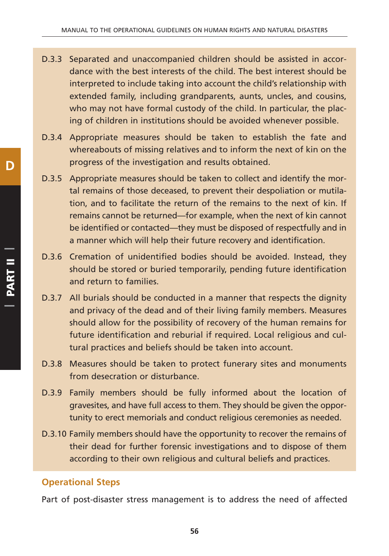- D.3.3 Separated and unaccompanied children should be assisted in accordance with the best interests of the child. The best interest should be interpreted to include taking into account the child's relationship with extended family, including grandparents, aunts, uncles, and cousins, who may not have formal custody of the child. In particular, the placing of children in institutions should be avoided whenever possible.
- D.3.4 Appropriate measures should be taken to establish the fate and whereabouts of missing relatives and to inform the next of kin on the progress of the investigation and results obtained.
- D.3.5 Appropriate measures should be taken to collect and identify the mortal remains of those deceased, to prevent their despoliation or mutilation, and to facilitate the return of the remains to the next of kin. If remains cannot be returned—for example, when the next of kin cannot be identified or contacted—they must be disposed of respectfully and in a manner which will help their future recovery and identification.
- D.3.6 Cremation of unidentified bodies should be avoided. Instead, they should be stored or buried temporarily, pending future identification and return to families.
- D.3.7 All burials should be conducted in a manner that respects the dignity and privacy of the dead and of their living family members. Measures should allow for the possibility of recovery of the human remains for future identification and reburial if required. Local religious and cultural practices and beliefs should be taken into account.
- D.3.8 Measures should be taken to protect funerary sites and monuments from desecration or disturbance.
- D.3.9 Family members should be fully informed about the location of gravesites, and have full access to them. They should be given the opportunity to erect memorials and conduct religious ceremonies as needed.
- D.3.10 Family members should have the opportunity to recover the remains of their dead for further forensic investigations and to dispose of them according to their own religious and cultural beliefs and practices.

#### **Operational Steps**

Part of post-disaster stress management is to address the need of affected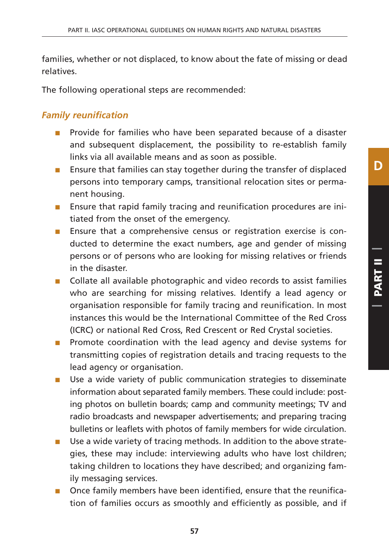families, whether or not displaced, to know about the fate of missing or dead relatives.

The following operational steps are recommended:

#### *Family reunification*

- Provide for families who have been separated because of a disaster and subsequent displacement, the possibility to re-establish family links via all available means and as soon as possible.
- Ensure that families can stay together during the transfer of displaced persons into temporary camps, transitional relocation sites or permanent housing.
- Ensure that rapid family tracing and reunification procedures are initiated from the onset of the emergency.
- Ensure that a comprehensive census or registration exercise is conducted to determine the exact numbers, age and gender of missing persons or of persons who are looking for missing relatives or friends in the disaster.
- Collate all available photographic and video records to assist families who are searching for missing relatives. Identify a lead agency or organisation responsible for family tracing and reunification. In most instances this would be the International Committee of the Red Cross (ICRC) or national Red Cross, Red Crescent or Red Crystal societies.
- Promote coordination with the lead agency and devise systems for transmitting copies of registration details and tracing requests to the lead agency or organisation.
- Use a wide variety of public communication strategies to disseminate information about separated family members. These could include: posting photos on bulletin boards; camp and community meetings; TV and radio broadcasts and newspaper advertisements; and preparing tracing bulletins or leaflets with photos of family members for wide circulation.
- Use a wide variety of tracing methods. In addition to the above strategies, these may include: interviewing adults who have lost children; taking children to locations they have described; and organizing family messaging services.
- Once family members have been identified, ensure that the reunification of families occurs as smoothly and efficiently as possible, and if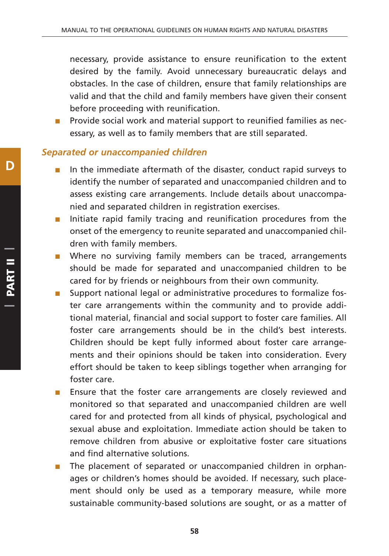necessary, provide assistance to ensure reunification to the extent desired by the family. Avoid unnecessary bureaucratic delays and obstacles. In the case of children, ensure that family relationships are valid and that the child and family members have given their consent before proceeding with reunification.

Provide social work and material support to reunified families as necessary, as well as to family members that are still separated.

#### *Separated or unaccompanied children*

- In the immediate aftermath of the disaster, conduct rapid surveys to identify the number of separated and unaccompanied children and to assess existing care arrangements. Include details about unaccompanied and separated children in registration exercises.
- Initiate rapid family tracing and reunification procedures from the onset of the emergency to reunite separated and unaccompanied children with family members.
- Where no surviving family members can be traced, arrangements should be made for separated and unaccompanied children to be cared for by friends or neighbours from their own community.
- Support national legal or administrative procedures to formalize foster care arrangements within the community and to provide additional material, financial and social support to foster care families. All foster care arrangements should be in the child's best interests. Children should be kept fully informed about foster care arrangements and their opinions should be taken into consideration. Every effort should be taken to keep siblings together when arranging for foster care.
- Ensure that the foster care arrangements are closely reviewed and monitored so that separated and unaccompanied children are well cared for and protected from all kinds of physical, psychological and sexual abuse and exploitation. Immediate action should be taken to remove children from abusive or exploitative foster care situations and find alternative solutions.
- The placement of separated or unaccompanied children in orphanages or children's homes should be avoided. If necessary, such placement should only be used as a temporary measure, while more sustainable community-based solutions are sought, or as a matter of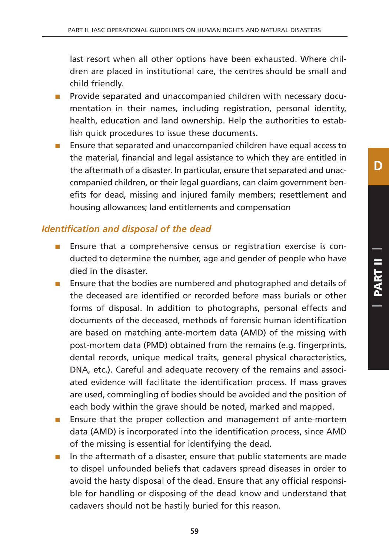last resort when all other options have been exhausted. Where children are placed in institutional care, the centres should be small and child friendly.

- Provide separated and unaccompanied children with necessary documentation in their names, including registration, personal identity, health, education and land ownership. Help the authorities to establish quick procedures to issue these documents.
- Ensure that separated and unaccompanied children have equal access to the material, financial and legal assistance to which they are entitled in the aftermath of a disaster. In particular, ensure that separated and unaccompanied children, or their legal guardians, can claim government benefits for dead, missing and injured family members; resettlement and housing allowances; land entitlements and compensation

#### *Identification and disposal of the dead*

- Ensure that a comprehensive census or registration exercise is conducted to determine the number, age and gender of people who have died in the disaster.
- Ensure that the bodies are numbered and photographed and details of the deceased are identified or recorded before mass burials or other forms of disposal. In addition to photographs, personal effects and documents of the deceased, methods of forensic human identification are based on matching ante-mortem data (AMD) of the missing with post-mortem data (PMD) obtained from the remains (e.g. fingerprints, dental records, unique medical traits, general physical characteristics, DNA, etc.). Careful and adequate recovery of the remains and associated evidence will facilitate the identification process. If mass graves are used, commingling of bodies should be avoided and the position of each body within the grave should be noted, marked and mapped.
- Ensure that the proper collection and management of ante-mortem data (AMD) is incorporated into the identification process, since AMD of the missing is essential for identifying the dead.
- In the aftermath of a disaster, ensure that public statements are made to dispel unfounded beliefs that cadavers spread diseases in order to avoid the hasty disposal of the dead. Ensure that any official responsible for handling or disposing of the dead know and understand that cadavers should not be hastily buried for this reason.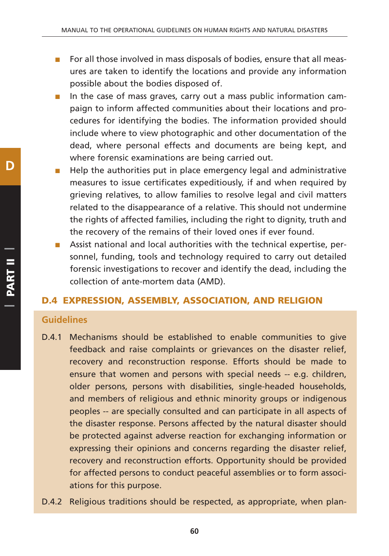- For all those involved in mass disposals of bodies, ensure that all measures are taken to identify the locations and provide any information possible about the bodies disposed of.
- In the case of mass graves, carry out a mass public information campaign to inform affected communities about their locations and procedures for identifying the bodies. The information provided should include where to view photographic and other documentation of the dead, where personal effects and documents are being kept, and where forensic examinations are being carried out.
- Help the authorities put in place emergency legal and administrative measures to issue certificates expeditiously, if and when required by grieving relatives, to allow families to resolve legal and civil matters related to the disappearance of a relative. This should not undermine the rights of affected families, including the right to dignity, truth and the recovery of the remains of their loved ones if ever found.
- Assist national and local authorities with the technical expertise, personnel, funding, tools and technology required to carry out detailed forensic investigations to recover and identify the dead, including the collection of ante-mortem data (AMD).

#### **D.4 EXPRESSION, ASSEMBLY, ASSOCIATION, AND RELIGION**

#### **Guidelines**

- D.4.1 Mechanisms should be established to enable communities to give feedback and raise complaints or grievances on the disaster relief, recovery and reconstruction response. Efforts should be made to ensure that women and persons with special needs -- e.g. children, older persons, persons with disabilities, single-headed households, and members of religious and ethnic minority groups or indigenous peoples -- are specially consulted and can participate in all aspects of the disaster response. Persons affected by the natural disaster should be protected against adverse reaction for exchanging information or expressing their opinions and concerns regarding the disaster relief, recovery and reconstruction efforts. Opportunity should be provided for affected persons to conduct peaceful assemblies or to form associations for this purpose.
- D.4.2 Religious traditions should be respected, as appropriate, when plan-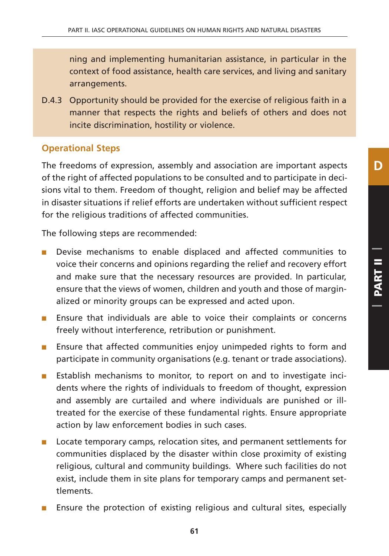ning and implementing humanitarian assistance, in particular in the context of food assistance, health care services, and living and sanitary arrangements.

D.4.3 Opportunity should be provided for the exercise of religious faith in a manner that respects the rights and beliefs of others and does not incite discrimination, hostility or violence.

#### **Operational Steps**

The freedoms of expression, assembly and association are important aspects of the right of affected populations to be consulted and to participate in decisions vital to them. Freedom of thought, religion and belief may be affected in disaster situations if relief efforts are undertaken without sufficient respect for the religious traditions of affected communities.

The following steps are recommended:

- Devise mechanisms to enable displaced and affected communities to voice their concerns and opinions regarding the relief and recovery effort and make sure that the necessary resources are provided. In particular, ensure that the views of women, children and youth and those of marginalized or minority groups can be expressed and acted upon.
- Ensure that individuals are able to voice their complaints or concerns freely without interference, retribution or punishment.
- Ensure that affected communities enjoy unimpeded rights to form and participate in community organisations (e.g. tenant or trade associations).
- Establish mechanisms to monitor, to report on and to investigate incidents where the rights of individuals to freedom of thought, expression and assembly are curtailed and where individuals are punished or illtreated for the exercise of these fundamental rights. Ensure appropriate action by law enforcement bodies in such cases.
- Locate temporary camps, relocation sites, and permanent settlements for communities displaced by the disaster within close proximity of existing religious, cultural and community buildings. Where such facilities do not exist, include them in site plans for temporary camps and permanent settlements.
- Ensure the protection of existing religious and cultural sites, especially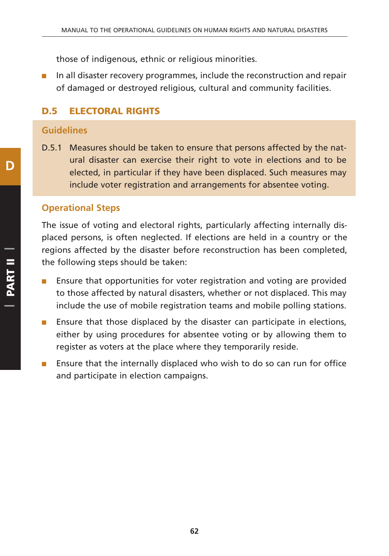those of indigenous, ethnic or religious minorities.

■ In all disaster recovery programmes, include the reconstruction and repair of damaged or destroyed religious, cultural and community facilities.

## **D.5 ELECTORAL RIGHTS**

#### **Guidelines**

D.5.1 Measures should be taken to ensure that persons affected by the natural disaster can exercise their right to vote in elections and to be elected, in particular if they have been displaced. Such measures may include voter registration and arrangements for absentee voting.

## **Operational Steps**

The issue of voting and electoral rights, particularly affecting internally displaced persons, is often neglected. If elections are held in a country or the regions affected by the disaster before reconstruction has been completed, the following steps should be taken:

- Ensure that opportunities for voter registration and voting are provided to those affected by natural disasters, whether or not displaced. This may include the use of mobile registration teams and mobile polling stations.
- Ensure that those displaced by the disaster can participate in elections, either by using procedures for absentee voting or by allowing them to register as voters at the place where they temporarily reside.
- Ensure that the internally displaced who wish to do so can run for office and participate in election campaigns.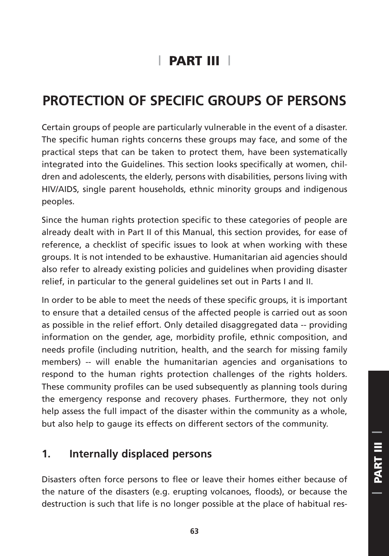# **| PART III |**

# **PROTECTION OF SPECIFIC GROUPS OF PERSONS**

Certain groups of people are particularly vulnerable in the event of a disaster. The specific human rights concerns these groups may face, and some of the practical steps that can be taken to protect them, have been systematically integrated into the Guidelines. This section looks specifically at women, children and adolescents, the elderly, persons with disabilities, persons living with HIV/AIDS, single parent households, ethnic minority groups and indigenous peoples.

Since the human rights protection specific to these categories of people are already dealt with in Part II of this Manual, this section provides, for ease of reference, a checklist of specific issues to look at when working with these groups. It is not intended to be exhaustive. Humanitarian aid agencies should also refer to already existing policies and guidelines when providing disaster relief, in particular to the general guidelines set out in Parts I and II.

In order to be able to meet the needs of these specific groups, it is important to ensure that a detailed census of the affected people is carried out as soon as possible in the relief effort. Only detailed disaggregated data -- providing information on the gender, age, morbidity profile, ethnic composition, and needs profile (including nutrition, health, and the search for missing family members) -- will enable the humanitarian agencies and organisations to respond to the human rights protection challenges of the rights holders. These community profiles can be used subsequently as planning tools during the emergency response and recovery phases. Furthermore, they not only help assess the full impact of the disaster within the community as a whole, but also help to gauge its effects on different sectors of the community.

## **1. Internally displaced persons**

Disasters often force persons to flee or leave their homes either because of the nature of the disasters (e.g. erupting volcanoes, floods), or because the destruction is such that life is no longer possible at the place of habitual res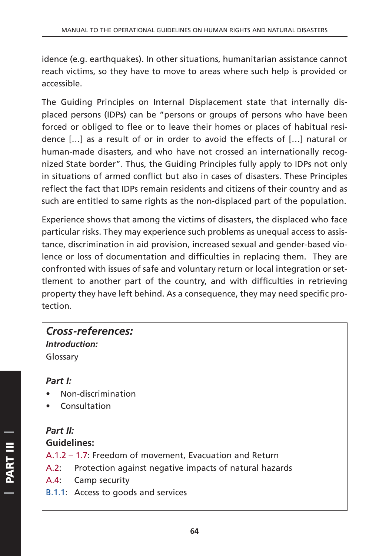idence (e.g. earthquakes). In other situations, humanitarian assistance cannot reach victims, so they have to move to areas where such help is provided or accessible.

The Guiding Principles on Internal Displacement state that internally displaced persons (IDPs) can be "persons or groups of persons who have been forced or obliged to flee or to leave their homes or places of habitual residence […] as a result of or in order to avoid the effects of […] natural or human-made disasters, and who have not crossed an internationally recognized State border". Thus, the Guiding Principles fully apply to IDPs not only in situations of armed conflict but also in cases of disasters. These Principles reflect the fact that IDPs remain residents and citizens of their country and as such are entitled to same rights as the non-displaced part of the population.

Experience shows that among the victims of disasters, the displaced who face particular risks. They may experience such problems as unequal access to assistance, discrimination in aid provision, increased sexual and gender-based violence or loss of documentation and difficulties in replacing them. They are confronted with issues of safe and voluntary return or local integration or settlement to another part of the country, and with difficulties in retrieving property they have left behind. As a consequence, they may need specific protection.

## *Cross-references:*

*Introduction:* Glossary

## *Part I:*

- Non-discrimination
- **Consultation**

#### *Part II:*  **Guidelines:**

- A.1.2 1.7: Freedom of movement, Evacuation and Return
- A.2: Protection against negative impacts of natural hazards
- A.4: Camp security
- B.1.1: Access to goods and services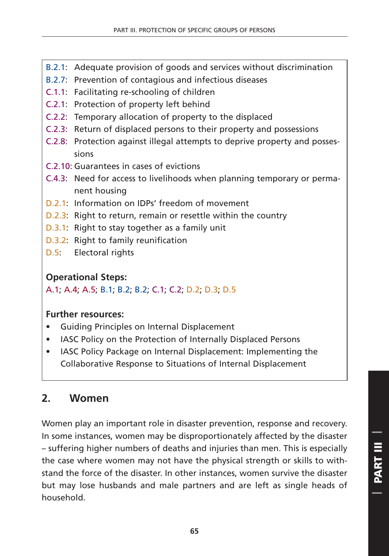- B.2.1: Adequate provision of goods and services without discrimination
- B.2.7: Prevention of contagious and infectious diseases
- C.1.1: Facilitating re-schooling of children
- C.2.1: Protection of property left behind
- C.2.2: Temporary allocation of property to the displaced
- C.2.3: Return of displaced persons to their property and possessions
- C.2.8: Protection against illegal attempts to deprive property and possessions
- C.2.10: Guarantees in cases of evictions
- C.4.3: Need for access to livelihoods when planning temporary or permanent housing
- D.2.1: Information on IDPs' freedom of movement
- D.2.3: Right to return, remain or resettle within the country
- D.3.1: Right to stay together as a family unit
- D.3.2: Right to family reunification
- D.5: Electoral rights

## **Operational Steps:**

A.1; A.4; A.5; B.1; B.2; B.2; C.1; C.2; D.2; D.3; D.5

## **Further resources:**

- Guiding Principles on Internal Displacement
- IASC Policy on the Protection of Internally Displaced Persons
- IASC Policy Package on Internal Displacement: Implementing the Collaborative Response to Situations of Internal Displacement

# **2. Women**

Women play an important role in disaster prevention, response and recovery. In some instances, women may be disproportionately affected by the disaster – suffering higher numbers of deaths and injuries than men. This is especially the case where women may not have the physical strength or skills to withstand the force of the disaster. In other instances, women survive the disaster but may lose husbands and male partners and are left as single heads of household.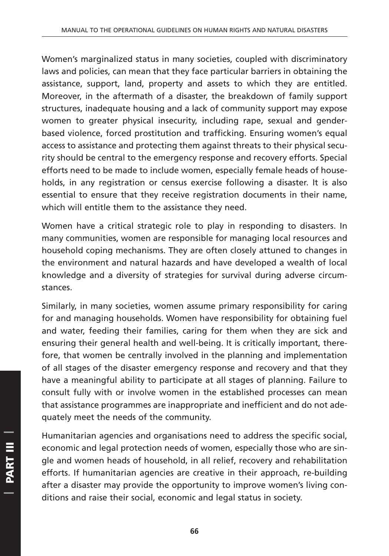Women's marginalized status in many societies, coupled with discriminatory laws and policies, can mean that they face particular barriers in obtaining the assistance, support, land, property and assets to which they are entitled. Moreover, in the aftermath of a disaster, the breakdown of family support structures, inadequate housing and a lack of community support may expose women to greater physical insecurity, including rape, sexual and genderbased violence, forced prostitution and trafficking. Ensuring women's equal access to assistance and protecting them against threats to their physical security should be central to the emergency response and recovery efforts. Special efforts need to be made to include women, especially female heads of households, in any registration or census exercise following a disaster. It is also essential to ensure that they receive registration documents in their name, which will entitle them to the assistance they need.

Women have a critical strategic role to play in responding to disasters. In many communities, women are responsible for managing local resources and household coping mechanisms. They are often closely attuned to changes in the environment and natural hazards and have developed a wealth of local knowledge and a diversity of strategies for survival during adverse circumstances.

Similarly, in many societies, women assume primary responsibility for caring for and managing households. Women have responsibility for obtaining fuel and water, feeding their families, caring for them when they are sick and ensuring their general health and well-being. It is critically important, therefore, that women be centrally involved in the planning and implementation of all stages of the disaster emergency response and recovery and that they have a meaningful ability to participate at all stages of planning. Failure to consult fully with or involve women in the established processes can mean that assistance programmes are inappropriate and inefficient and do not adequately meet the needs of the community.

Humanitarian agencies and organisations need to address the specific social, economic and legal protection needs of women, especially those who are single and women heads of household, in all relief, recovery and rehabilitation efforts. If humanitarian agencies are creative in their approach, re-building after a disaster may provide the opportunity to improve women's living conditions and raise their social, economic and legal status in society.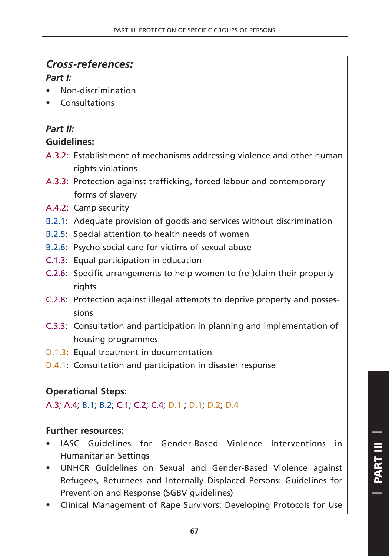# *Cross-references:*

### *Part I:*

- Non-discrimination
- **Consultations**

## *Part II:*

### **Guidelines:**

- A.3.2: Establishment of mechanisms addressing violence and other human rights violations
- A.3.3: Protection against trafficking, forced labour and contemporary forms of slavery
- A.4.2: Camp security
- B.2.1: Adequate provision of goods and services without discrimination
- B.2.5: Special attention to health needs of women
- B.2.6: Psycho-social care for victims of sexual abuse
- C.1.3: Equal participation in education
- C.2.6: Specific arrangements to help women to (re-)claim their property rights
- C.2.8: Protection against illegal attempts to deprive property and possessions
- C.3.3: Consultation and participation in planning and implementation of housing programmes
- D.1.3: Equal treatment in documentation
- D.4.1: Consultation and participation in disaster response

# **Operational Steps:**

### A.3; A.4; B.1; B.2; C.1; C.2; C.4; D.1 ; D.1; D.2; D.4

### **Further resources:**

- IASC Guidelines for Gender-Based Violence Interventions in Humanitarian Settings
- UNHCR Guidelines on Sexual and Gender-Based Violence against Refugees, Returnees and Internally Displaced Persons: Guidelines for Prevention and Response (SGBV guidelines)
- Clinical Management of Rape Survivors: Developing Protocols for Use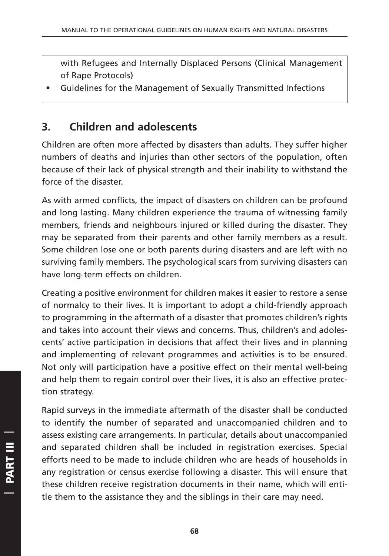with Refugees and Internally Displaced Persons (Clinical Management of Rape Protocols)

• Guidelines for the Management of Sexually Transmitted Infections

# **3. Children and adolescents**

Children are often more affected by disasters than adults. They suffer higher numbers of deaths and injuries than other sectors of the population, often because of their lack of physical strength and their inability to withstand the force of the disaster.

As with armed conflicts, the impact of disasters on children can be profound and long lasting. Many children experience the trauma of witnessing family members, friends and neighbours injured or killed during the disaster. They may be separated from their parents and other family members as a result. Some children lose one or both parents during disasters and are left with no surviving family members. The psychological scars from surviving disasters can have long-term effects on children.

Creating a positive environment for children makes it easier to restore a sense of normalcy to their lives. It is important to adopt a child-friendly approach to programming in the aftermath of a disaster that promotes children's rights and takes into account their views and concerns. Thus, children's and adolescents' active participation in decisions that affect their lives and in planning and implementing of relevant programmes and activities is to be ensured. Not only will participation have a positive effect on their mental well-being and help them to regain control over their lives, it is also an effective protection strategy.

Rapid surveys in the immediate aftermath of the disaster shall be conducted to identify the number of separated and unaccompanied children and to assess existing care arrangements. In particular, details about unaccompanied and separated children shall be included in registration exercises. Special efforts need to be made to include children who are heads of households in any registration or census exercise following a disaster. This will ensure that these children receive registration documents in their name, which will entitle them to the assistance they and the siblings in their care may need.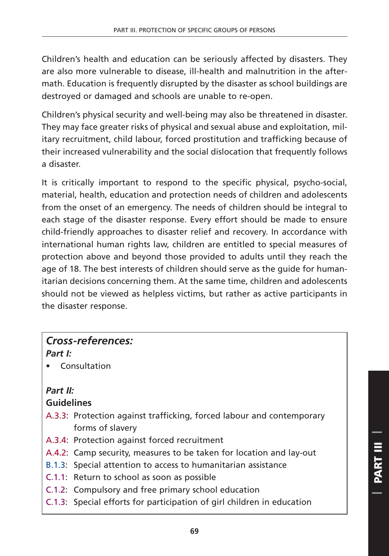Children's health and education can be seriously affected by disasters. They are also more vulnerable to disease, ill-health and malnutrition in the aftermath. Education is frequently disrupted by the disaster as school buildings are destroyed or damaged and schools are unable to re-open.

Children's physical security and well-being may also be threatened in disaster. They may face greater risks of physical and sexual abuse and exploitation, military recruitment, child labour, forced prostitution and trafficking because of their increased vulnerability and the social dislocation that frequently follows a disaster.

It is critically important to respond to the specific physical, psycho-social, material, health, education and protection needs of children and adolescents from the onset of an emergency. The needs of children should be integral to each stage of the disaster response. Every effort should be made to ensure child-friendly approaches to disaster relief and recovery. In accordance with international human rights law, children are entitled to special measures of protection above and beyond those provided to adults until they reach the age of 18. The best interests of children should serve as the guide for humanitarian decisions concerning them. At the same time, children and adolescents should not be viewed as helpless victims, but rather as active participants in the disaster response.

# *Cross-references:*

*Part I:*

• Consultation

#### *Part II:* **Guidelines**

- A.3.3: Protection against trafficking, forced labour and contemporary forms of slavery
- A.3.4: Protection against forced recruitment
- A.4.2: Camp security, measures to be taken for location and lay-out
- B.1.3: Special attention to access to humanitarian assistance
- C.1.1: Return to school as soon as possible
- C.1.2: Compulsory and free primary school education
- C.1.3: Special efforts for participation of girl children in education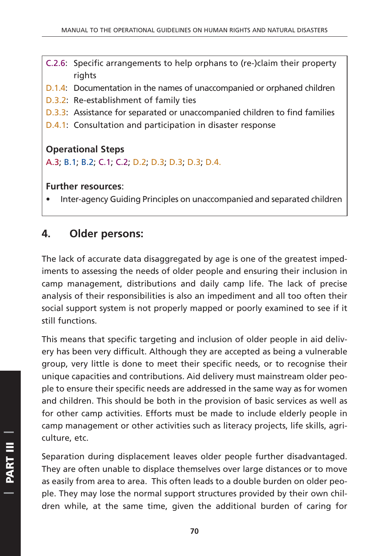- C.2.6: Specific arrangements to help orphans to (re-)claim their property rights
- D.1.4: Documentation in the names of unaccompanied or orphaned children
- D.3.2: Re-establishment of family ties
- D.3.3: Assistance for separated or unaccompanied children to find families
- D.4.1: Consultation and participation in disaster response

### **Operational Steps**

A.3; B.1; B.2; C.1; C.2; D.2; D.3; D.3; D.3; D.4.

#### **Further resources**:

• Inter-agency Guiding Principles on unaccompanied and separated children

# **4. Older persons:**

The lack of accurate data disaggregated by age is one of the greatest impediments to assessing the needs of older people and ensuring their inclusion in camp management, distributions and daily camp life. The lack of precise analysis of their responsibilities is also an impediment and all too often their social support system is not properly mapped or poorly examined to see if it still functions.

This means that specific targeting and inclusion of older people in aid delivery has been very difficult. Although they are accepted as being a vulnerable group, very little is done to meet their specific needs, or to recognise their unique capacities and contributions. Aid delivery must mainstream older people to ensure their specific needs are addressed in the same way as for women and children. This should be both in the provision of basic services as well as for other camp activities. Efforts must be made to include elderly people in camp management or other activities such as literacy projects, life skills, agriculture, etc.

Separation during displacement leaves older people further disadvantaged. They are often unable to displace themselves over large distances or to move as easily from area to area. This often leads to a double burden on older people. They may lose the normal support structures provided by their own children while, at the same time, given the additional burden of caring for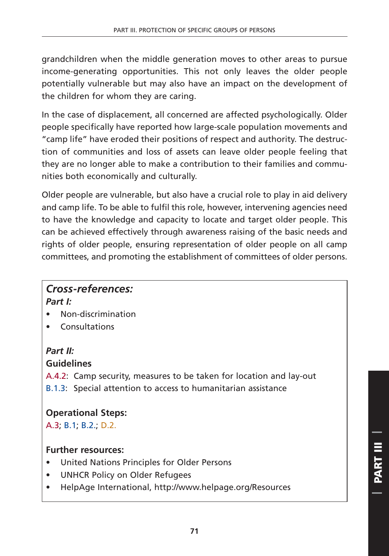grandchildren when the middle generation moves to other areas to pursue income-generating opportunities. This not only leaves the older people potentially vulnerable but may also have an impact on the development of the children for whom they are caring.

In the case of displacement, all concerned are affected psychologically. Older people specifically have reported how large-scale population movements and "camp life" have eroded their positions of respect and authority. The destruction of communities and loss of assets can leave older people feeling that they are no longer able to make a contribution to their families and communities both economically and culturally.

Older people are vulnerable, but also have a crucial role to play in aid delivery and camp life. To be able to fulfil this role, however, intervening agencies need to have the knowledge and capacity to locate and target older people. This can be achieved effectively through awareness raising of the basic needs and rights of older people, ensuring representation of older people on all camp committees, and promoting the establishment of committees of older persons.

# *Cross-references:*

*Part I:*

- Non-discrimination
- **Consultations**

## *Part II:*

#### **Guidelines**

A.4.2: Camp security, measures to be taken for location and lay-out B.1.3: Special attention to access to humanitarian assistance

# **Operational Steps:**

A.3; B.1; B.2.; D.2.

#### **Further resources:**

- United Nations Principles for Older Persons
- UNHCR Policy on Older Refugees
- HelpAge International, http://www.helpage.org/Resources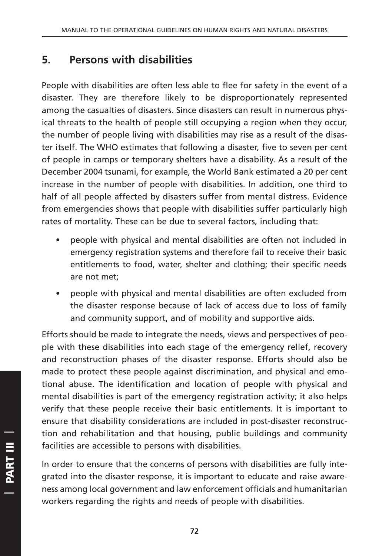# **5. Persons with disabilities**

People with disabilities are often less able to flee for safety in the event of a disaster. They are therefore likely to be disproportionately represented among the casualties of disasters. Since disasters can result in numerous physical threats to the health of people still occupying a region when they occur, the number of people living with disabilities may rise as a result of the disaster itself. The WHO estimates that following a disaster, five to seven per cent of people in camps or temporary shelters have a disability. As a result of the December 2004 tsunami, for example, the World Bank estimated a 20 per cent increase in the number of people with disabilities. In addition, one third to half of all people affected by disasters suffer from mental distress. Evidence from emergencies shows that people with disabilities suffer particularly high rates of mortality. These can be due to several factors, including that:

- people with physical and mental disabilities are often not included in emergency registration systems and therefore fail to receive their basic entitlements to food, water, shelter and clothing; their specific needs are not met;
- people with physical and mental disabilities are often excluded from the disaster response because of lack of access due to loss of family and community support, and of mobility and supportive aids.

Efforts should be made to integrate the needs, views and perspectives of people with these disabilities into each stage of the emergency relief, recovery and reconstruction phases of the disaster response. Efforts should also be made to protect these people against discrimination, and physical and emotional abuse. The identification and location of people with physical and mental disabilities is part of the emergency registration activity; it also helps verify that these people receive their basic entitlements. It is important to ensure that disability considerations are included in post-disaster reconstruction and rehabilitation and that housing, public buildings and community facilities are accessible to persons with disabilities.

In order to ensure that the concerns of persons with disabilities are fully integrated into the disaster response, it is important to educate and raise awareness among local government and law enforcement officials and humanitarian workers regarding the rights and needs of people with disabilities.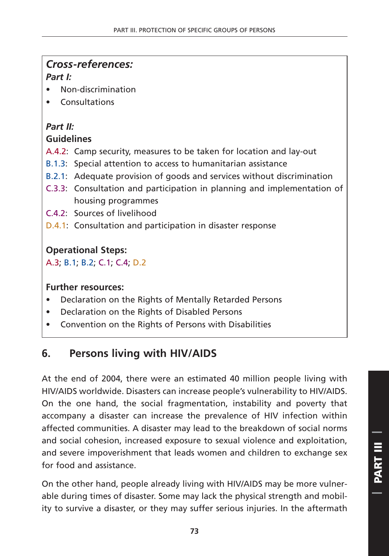## *Cross-references:*

*Part I:* 

- Non-discrimination
- **Consultations**

### *Part II:*

### **Guidelines**

- A.4.2: Camp security, measures to be taken for location and lay-out
- B.1.3: Special attention to access to humanitarian assistance
- B.2.1: Adequate provision of goods and services without discrimination
- C.3.3: Consultation and participation in planning and implementation of housing programmes
- C.4.2: Sources of livelihood
- D.4.1: Consultation and participation in disaster response

## **Operational Steps:**

A.3; B.1; B.2; C.1; C.4; D.2

### **Further resources:**

- Declaration on the Rights of Mentally Retarded Persons
- Declaration on the Rights of Disabled Persons
- Convention on the Rights of Persons with Disabilities

# **6. Persons living with HIV/AIDS**

At the end of 2004, there were an estimated 40 million people living with HIV/AIDS worldwide. Disasters can increase people's vulnerability to HIV/AIDS. On the one hand, the social fragmentation, instability and poverty that accompany a disaster can increase the prevalence of HIV infection within affected communities. A disaster may lead to the breakdown of social norms and social cohesion, increased exposure to sexual violence and exploitation, and severe impoverishment that leads women and children to exchange sex for food and assistance.

On the other hand, people already living with HIV/AIDS may be more vulnerable during times of disaster. Some may lack the physical strength and mobility to survive a disaster, or they may suffer serious injuries. In the aftermath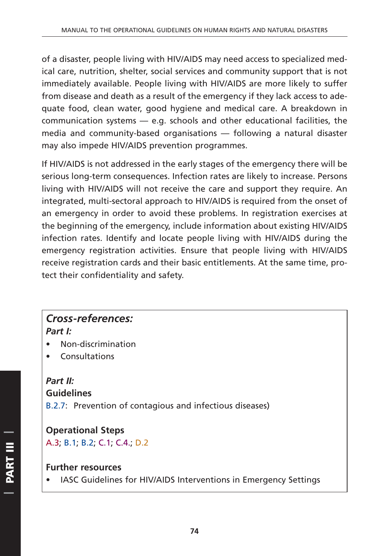of a disaster, people living with HIV/AIDS may need access to specialized medical care, nutrition, shelter, social services and community support that is not immediately available. People living with HIV/AIDS are more likely to suffer from disease and death as a result of the emergency if they lack access to adequate food, clean water, good hygiene and medical care. A breakdown in communication systems — e.g. schools and other educational facilities, the media and community-based organisations — following a natural disaster may also impede HIV/AIDS prevention programmes.

If HIV/AIDS is not addressed in the early stages of the emergency there will be serious long-term consequences. Infection rates are likely to increase. Persons living with HIV/AIDS will not receive the care and support they require. An integrated, multi-sectoral approach to HIV/AIDS is required from the onset of an emergency in order to avoid these problems. In registration exercises at the beginning of the emergency, include information about existing HIV/AIDS infection rates. Identify and locate people living with HIV/AIDS during the emergency registration activities. Ensure that people living with HIV/AIDS receive registration cards and their basic entitlements. At the same time, protect their confidentiality and safety.

# *Cross-references:*

*Part I:*

- Non-discrimination
- **Consultations**

## *Part II:*

**Guidelines**

B.2.7: Prevention of contagious and infectious diseases)

#### **Operational Steps**

A.3; B.1; B.2; C.1; C.4.; D.2

#### **Further resources**

IASC Guidelines for HIV/AIDS Interventions in Emergency Settings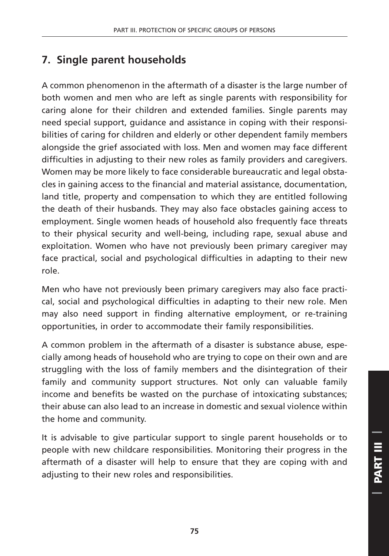# **7. Single parent households**

A common phenomenon in the aftermath of a disaster is the large number of both women and men who are left as single parents with responsibility for caring alone for their children and extended families. Single parents may need special support, guidance and assistance in coping with their responsibilities of caring for children and elderly or other dependent family members alongside the grief associated with loss. Men and women may face different difficulties in adjusting to their new roles as family providers and caregivers. Women may be more likely to face considerable bureaucratic and legal obstacles in gaining access to the financial and material assistance, documentation, land title, property and compensation to which they are entitled following the death of their husbands. They may also face obstacles gaining access to employment. Single women heads of household also frequently face threats to their physical security and well-being, including rape, sexual abuse and exploitation. Women who have not previously been primary caregiver may face practical, social and psychological difficulties in adapting to their new role.

Men who have not previously been primary caregivers may also face practical, social and psychological difficulties in adapting to their new role. Men may also need support in finding alternative employment, or re-training opportunities, in order to accommodate their family responsibilities.

A common problem in the aftermath of a disaster is substance abuse, especially among heads of household who are trying to cope on their own and are struggling with the loss of family members and the disintegration of their family and community support structures. Not only can valuable family income and benefits be wasted on the purchase of intoxicating substances; their abuse can also lead to an increase in domestic and sexual violence within the home and community.

It is advisable to give particular support to single parent households or to people with new childcare responsibilities. Monitoring their progress in the aftermath of a disaster will help to ensure that they are coping with and adjusting to their new roles and responsibilities.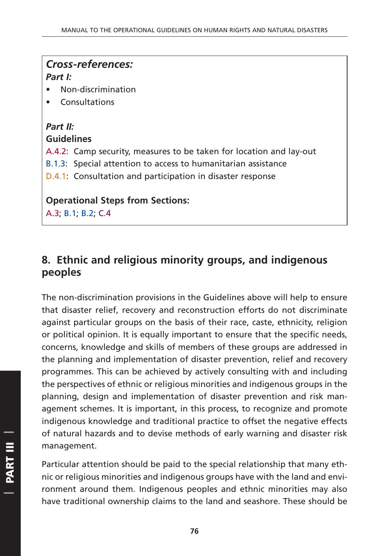# *Cross-references:*

*Part I:*

- Non-discrimination
- **Consultations**

#### *Part II:* **Guidelines**

#### A.4.2: Camp security, measures to be taken for location and lay-out

- B.1.3: Special attention to access to humanitarian assistance
- D.4.1: Consultation and participation in disaster response

**Operational Steps from Sections:**

A.3; B.1; B.2; C.4

## **8. Ethnic and religious minority groups, and indigenous peoples**

The non-discrimination provisions in the Guidelines above will help to ensure that disaster relief, recovery and reconstruction efforts do not discriminate against particular groups on the basis of their race, caste, ethnicity, religion or political opinion. It is equally important to ensure that the specific needs, concerns, knowledge and skills of members of these groups are addressed in the planning and implementation of disaster prevention, relief and recovery programmes. This can be achieved by actively consulting with and including the perspectives of ethnic or religious minorities and indigenous groups in the planning, design and implementation of disaster prevention and risk management schemes. It is important, in this process, to recognize and promote indigenous knowledge and traditional practice to offset the negative effects of natural hazards and to devise methods of early warning and disaster risk management.

Particular attention should be paid to the special relationship that many ethnic or religious minorities and indigenous groups have with the land and environment around them. Indigenous peoples and ethnic minorities may also have traditional ownership claims to the land and seashore. These should be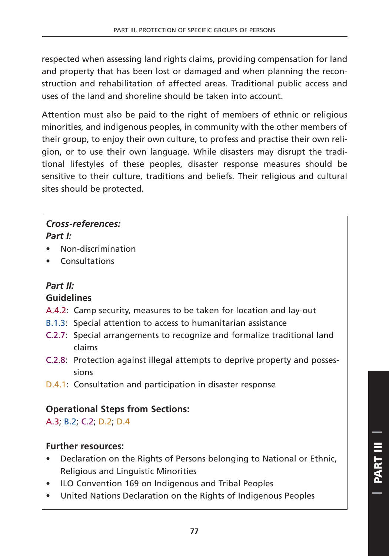respected when assessing land rights claims, providing compensation for land and property that has been lost or damaged and when planning the reconstruction and rehabilitation of affected areas. Traditional public access and uses of the land and shoreline should be taken into account.

Attention must also be paid to the right of members of ethnic or religious minorities, and indigenous peoples, in community with the other members of their group, to enjoy their own culture, to profess and practise their own religion, or to use their own language. While disasters may disrupt the traditional lifestyles of these peoples, disaster response measures should be sensitive to their culture, traditions and beliefs. Their religious and cultural sites should be protected.

#### *Cross-references: Part I:*

- Non-discrimination
- **Consultations**

### *Part II:*

#### **Guidelines**

- A.4.2: Camp security, measures to be taken for location and lay-out
- B.1.3: Special attention to access to humanitarian assistance
- C.2.7: Special arrangements to recognize and formalize traditional land claims
- C.2.8: Protection against illegal attempts to deprive property and possessions
- D.4.1: Consultation and participation in disaster response

#### **Operational Steps from Sections:**

A.3; B.2; C.2; D.2; D.4

#### **Further resources:**

- Declaration on the Rights of Persons belonging to National or Ethnic, Religious and Linguistic Minorities • Declaration on the Rights of Persons belonging to National or Ethnic,<br>
Religious and Linguistic Minorities<br>
• ILO Convention 169 on Indigenous and Tribal Peoples<br>
• United Nations Declaration on the Rights of Indigenous
- ILO Convention 169 on Indigenous and Tribal Peoples
-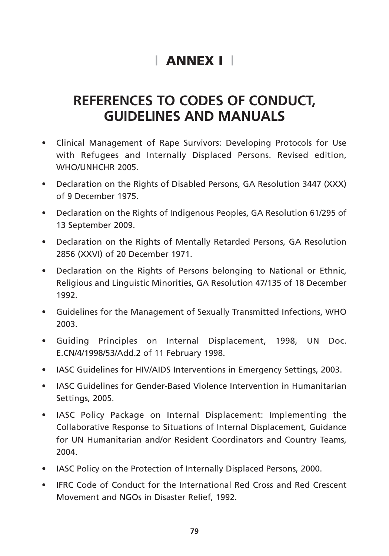# **| ANNEX I |**

# **REFERENCES TO CODES OF CONDUCT, GUIDELINES AND MANUALS**

- Clinical Management of Rape Survivors: Developing Protocols for Use with Refugees and Internally Displaced Persons. Revised edition, WHO/UNHCHR 2005.
- Declaration on the Rights of Disabled Persons, GA Resolution 3447 (XXX) of 9 December 1975.
- Declaration on the Rights of Indigenous Peoples, GA Resolution 61/295 of 13 September 2009.
- Declaration on the Rights of Mentally Retarded Persons, GA Resolution 2856 (XXVI) of 20 December 1971.
- Declaration on the Rights of Persons belonging to National or Ethnic, Religious and Linguistic Minorities, GA Resolution 47/135 of 18 December 1992.
- Guidelines for the Management of Sexually Transmitted Infections, WHO 2003.
- Guiding Principles on Internal Displacement, 1998, UN Doc. E.CN/4/1998/53/Add.2 of 11 February 1998.
- IASC Guidelines for HIV/AIDS Interventions in Emergency Settings, 2003.
- IASC Guidelines for Gender-Based Violence Intervention in Humanitarian Settings, 2005.
- IASC Policy Package on Internal Displacement: Implementing the Collaborative Response to Situations of Internal Displacement, Guidance for UN Humanitarian and/or Resident Coordinators and Country Teams, 2004.
- IASC Policy on the Protection of Internally Displaced Persons, 2000.
- IFRC Code of Conduct for the International Red Cross and Red Crescent Movement and NGOs in Disaster Relief, 1992.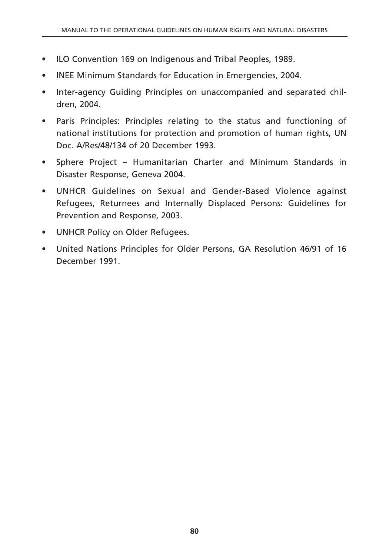- ILO Convention 169 on Indigenous and Tribal Peoples, 1989.
- INEE Minimum Standards for Education in Emergencies, 2004.
- Inter-agency Guiding Principles on unaccompanied and separated children, 2004.
- Paris Principles: Principles relating to the status and functioning of national institutions for protection and promotion of human rights, UN Doc. A/Res/48/134 of 20 December 1993.
- Sphere Project Humanitarian Charter and Minimum Standards in Disaster Response, Geneva 2004.
- UNHCR Guidelines on Sexual and Gender-Based Violence against Refugees, Returnees and Internally Displaced Persons: Guidelines for Prevention and Response, 2003.
- UNHCR Policy on Older Refugees.
- United Nations Principles for Older Persons, GA Resolution 46/91 of 16 December 1991.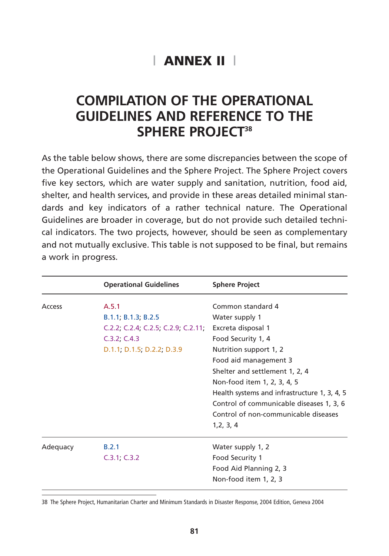# **| ANNEX II |**

# **COMPILATION OF THE OPERATIONAL GUIDELINES AND REFERENCE TO THE SPHERE PROJECT38**

As the table below shows, there are some discrepancies between the scope of the Operational Guidelines and the Sphere Project. The Sphere Project covers five key sectors, which are water supply and sanitation, nutrition, food aid, shelter, and health services, and provide in these areas detailed minimal standards and key indicators of a rather technical nature. The Operational Guidelines are broader in coverage, but do not provide such detailed technical indicators. The two projects, however, should be seen as complementary and not mutually exclusive. This table is not supposed to be final, but remains a work in progress.

|          | <b>Operational Guidelines</b>                                                                                                         | <b>Sphere Project</b>                                                                                                                                                                                                                                                                                                                                 |
|----------|---------------------------------------------------------------------------------------------------------------------------------------|-------------------------------------------------------------------------------------------------------------------------------------------------------------------------------------------------------------------------------------------------------------------------------------------------------------------------------------------------------|
| Access   | A.5.1<br>B.1.1; B.1.3; B.2.5<br>$C.2.2$ ; $C.2.4$ ; $C.2.5$ ; $C.2.9$ ; $C.2.11$ ;<br>$C.3.2$ ; $C.4.3$<br>D.1.1, D.1.5; D.2.2; D.3.9 | Common standard 4<br>Water supply 1<br>Excreta disposal 1<br>Food Security 1, 4<br>Nutrition support 1, 2<br>Food aid management 3<br>Shelter and settlement 1, 2, 4<br>Non-food item 1, 2, 3, 4, 5<br>Health systems and infrastructure 1, 3, 4, 5<br>Control of communicable diseases 1, 3, 6<br>Control of non-communicable diseases<br>1, 2, 3, 4 |
| Adequacy | B.2.1<br>$C.3.1$ ; $C.3.2$                                                                                                            | Water supply 1, 2<br>Food Security 1<br>Food Aid Planning 2, 3<br>Non-food item 1, 2, 3                                                                                                                                                                                                                                                               |

38 The Sphere Project, Humanitarian Charter and Minimum Standards in Disaster Response, 2004 Edition, Geneva 2004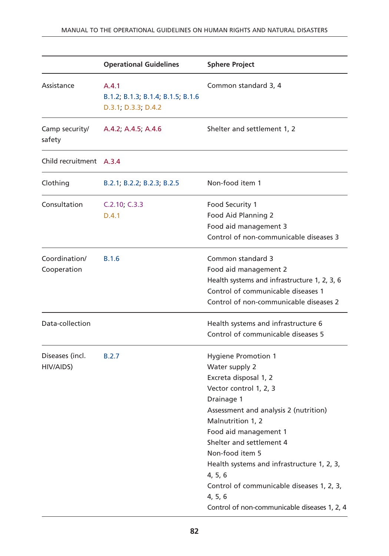|                              | <b>Operational Guidelines</b>                                     | <b>Sphere Project</b>                                                                                                                                                                                                                                                                                                                                                                                                |
|------------------------------|-------------------------------------------------------------------|----------------------------------------------------------------------------------------------------------------------------------------------------------------------------------------------------------------------------------------------------------------------------------------------------------------------------------------------------------------------------------------------------------------------|
| Assistance                   | A.4.1<br>B.1.2; B.1.3; B.1.4; B.1.5; B.1.6<br>D.3.1; D.3.3; D.4.2 | Common standard 3, 4                                                                                                                                                                                                                                                                                                                                                                                                 |
| Camp security/<br>safety     | A.4.2; A.4.5; A.4.6                                               | Shelter and settlement 1, 2                                                                                                                                                                                                                                                                                                                                                                                          |
| Child recruitment A.3.4      |                                                                   |                                                                                                                                                                                                                                                                                                                                                                                                                      |
| Clothing                     | B.2.1; B.2.2; B.2.3; B.2.5                                        | Non-food item 1                                                                                                                                                                                                                                                                                                                                                                                                      |
| Consultation                 | C.2.10; C.3.3<br>D.4.1                                            | Food Security 1<br>Food Aid Planning 2<br>Food aid management 3<br>Control of non-communicable diseases 3                                                                                                                                                                                                                                                                                                            |
| Coordination/<br>Cooperation | <b>B.1.6</b>                                                      | Common standard 3<br>Food aid management 2<br>Health systems and infrastructure 1, 2, 3, 6<br>Control of communicable diseases 1<br>Control of non-communicable diseases 2                                                                                                                                                                                                                                           |
| Data-collection              |                                                                   | Health systems and infrastructure 6<br>Control of communicable diseases 5                                                                                                                                                                                                                                                                                                                                            |
| Diseases (incl.<br>HIV/AIDS) | B.2.7                                                             | <b>Hygiene Promotion 1</b><br>Water supply 2<br>Excreta disposal 1, 2<br>Vector control 1, 2, 3<br>Drainage 1<br>Assessment and analysis 2 (nutrition)<br>Malnutrition 1, 2<br>Food aid management 1<br>Shelter and settlement 4<br>Non-food item 5<br>Health systems and infrastructure 1, 2, 3,<br>4, 5, 6<br>Control of communicable diseases 1, 2, 3,<br>4, 5, 6<br>Control of non-communicable diseases 1, 2, 4 |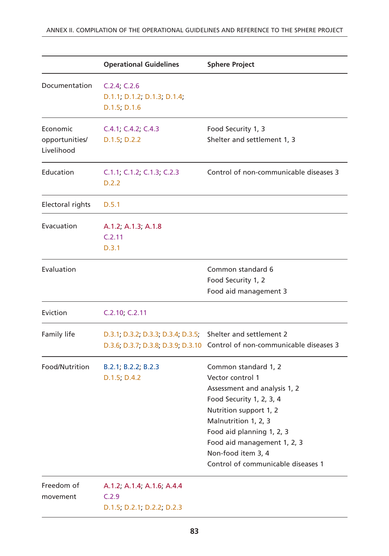|                                          | <b>Operational Guidelines</b>                                     | <b>Sphere Project</b>                                                                                                                                                                                                                                                          |
|------------------------------------------|-------------------------------------------------------------------|--------------------------------------------------------------------------------------------------------------------------------------------------------------------------------------------------------------------------------------------------------------------------------|
| Documentation                            | C.2.4; C.2.6<br>D.1.1, D.1.2; D.1.3; D.1.4;<br>D.1.5, D.1.6       |                                                                                                                                                                                                                                                                                |
| Economic<br>opportunities/<br>Livelihood | C.4.1; C.4.2; C.4.3<br>D.1.5; D.2.2                               | Food Security 1, 3<br>Shelter and settlement 1, 3                                                                                                                                                                                                                              |
| Education                                | C.1.1; C.1.2; C.1.3; C.2.3<br>D.2.2                               | Control of non-communicable diseases 3                                                                                                                                                                                                                                         |
| Electoral rights                         | D.5.1                                                             |                                                                                                                                                                                                                                                                                |
| Evacuation                               | A.1.2; A.1.3; A.1.8<br>C.2.11<br>D.3.1                            |                                                                                                                                                                                                                                                                                |
| Evaluation                               |                                                                   | Common standard 6<br>Food Security 1, 2<br>Food aid management 3                                                                                                                                                                                                               |
| Eviction                                 | C.2.10; C.2.11                                                    |                                                                                                                                                                                                                                                                                |
| Family life                              | D.3.1; D.3.2; D.3.3; D.3.4; D.3.5;                                | Shelter and settlement 2<br>D.3.6; D.3.7; D.3.8; D.3.9; D.3.10 Control of non-communicable diseases 3                                                                                                                                                                          |
| Food/Nutrition                           | B.2.1; B.2.2; B.2.3<br>D.1.5; D.4.2                               | Common standard 1, 2<br>Vector control 1<br>Assessment and analysis 1, 2<br>Food Security 1, 2, 3, 4<br>Nutrition support 1, 2<br>Malnutrition 1, 2, 3<br>Food aid planning 1, 2, 3<br>Food aid management 1, 2, 3<br>Non-food item 3, 4<br>Control of communicable diseases 1 |
| Freedom of<br>movement                   | A.1.2; A.1.4; A.1.6; A.4.4<br>C.2.9<br>D.1.5; D.2.1; D.2.2; D.2.3 |                                                                                                                                                                                                                                                                                |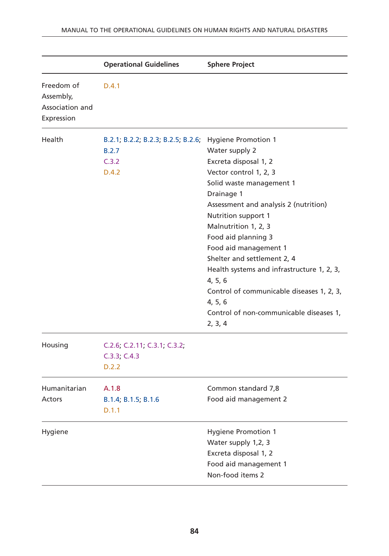|                                                          | <b>Operational Guidelines</b>                                        | <b>Sphere Project</b>                                                                                                                                                                                                                                                                                                                                                                                                                                                                   |
|----------------------------------------------------------|----------------------------------------------------------------------|-----------------------------------------------------------------------------------------------------------------------------------------------------------------------------------------------------------------------------------------------------------------------------------------------------------------------------------------------------------------------------------------------------------------------------------------------------------------------------------------|
| Freedom of<br>Assembly,<br>Association and<br>Expression | D.4.1                                                                |                                                                                                                                                                                                                                                                                                                                                                                                                                                                                         |
| Health                                                   | B.2.1; B.2.2; B.2.3; B.2.5; B.2.6;<br><b>B.2.7</b><br>C.3.2<br>D.4.2 | <b>Hygiene Promotion 1</b><br>Water supply 2<br>Excreta disposal 1, 2<br>Vector control 1, 2, 3<br>Solid waste management 1<br>Drainage 1<br>Assessment and analysis 2 (nutrition)<br>Nutrition support 1<br>Malnutrition 1, 2, 3<br>Food aid planning 3<br>Food aid management 1<br>Shelter and settlement 2, 4<br>Health systems and infrastructure 1, 2, 3,<br>4, 5, 6<br>Control of communicable diseases 1, 2, 3,<br>4, 5, 6<br>Control of non-communicable diseases 1,<br>2, 3, 4 |
| Housing                                                  | C.2.6; C.2.11; C.3.1; C.3.2;<br>C.3.3; C.4.3<br>D.2.2                |                                                                                                                                                                                                                                                                                                                                                                                                                                                                                         |
| Humanitarian<br>Actors                                   | A.1.8<br>B.1.4; B.1.5; B.1.6<br>D.1.1                                | Common standard 7,8<br>Food aid management 2                                                                                                                                                                                                                                                                                                                                                                                                                                            |
| Hygiene                                                  |                                                                      | <b>Hygiene Promotion 1</b><br>Water supply 1,2, 3<br>Excreta disposal 1, 2<br>Food aid management 1<br>Non-food items 2                                                                                                                                                                                                                                                                                                                                                                 |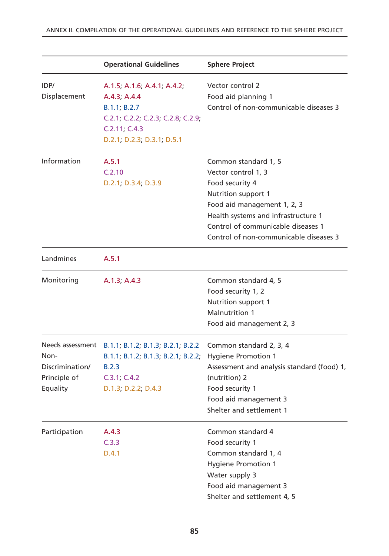|                                                                         | <b>Operational Guidelines</b>                                                                                                                    | <b>Sphere Project</b>                                                                                                                                                                                                                       |
|-------------------------------------------------------------------------|--------------------------------------------------------------------------------------------------------------------------------------------------|---------------------------------------------------------------------------------------------------------------------------------------------------------------------------------------------------------------------------------------------|
| IDP/<br>Displacement                                                    | A.1.5; A.1.6; A.4.1; A.4.2;<br>A.4.3; A.4.4<br>B.1.1; B.2.7<br>C.2.1; C.2.2; C.2.3; C.2.8; C.2.9;<br>C.2.11; C.4.3<br>D.2.1; D.2.3; D.3.1; D.5.1 | Vector control 2<br>Food aid planning 1<br>Control of non-communicable diseases 3                                                                                                                                                           |
| Information                                                             | A.5.1<br>C.2.10<br>D.2.1, D.3.4, D.3.9                                                                                                           | Common standard 1, 5<br>Vector control 1, 3<br>Food security 4<br>Nutrition support 1<br>Food aid management 1, 2, 3<br>Health systems and infrastructure 1<br>Control of communicable diseases 1<br>Control of non-communicable diseases 3 |
| Landmines                                                               | A.5.1                                                                                                                                            |                                                                                                                                                                                                                                             |
| Monitoring                                                              | A.1.3; A.4.3                                                                                                                                     | Common standard 4, 5<br>Food security 1, 2<br>Nutrition support 1<br>Malnutrition 1<br>Food aid management 2, 3                                                                                                                             |
| Needs assessment<br>Non-<br>Discrimination/<br>Principle of<br>Equality | B.1.1; B.1.2; B.1.3; B.2.1; B.2.2<br>B.1.1; B.1.2; B.1.3; B.2.1; B.2.2;<br><b>B.2.3</b><br>C.3.1; C.4.2<br>D.1.3, D.2.2; D.4.3                   | Common standard 2, 3, 4<br><b>Hygiene Promotion 1</b><br>Assessment and analysis standard (food) 1,<br>(nutrition) 2<br>Food security 1<br>Food aid management 3<br>Shelter and settlement 1                                                |
| Participation                                                           | A.4.3<br>C.3.3<br>D.4.1                                                                                                                          | Common standard 4<br>Food security 1<br>Common standard 1, 4<br><b>Hygiene Promotion 1</b><br>Water supply 3<br>Food aid management 3<br>Shelter and settlement 4, 5                                                                        |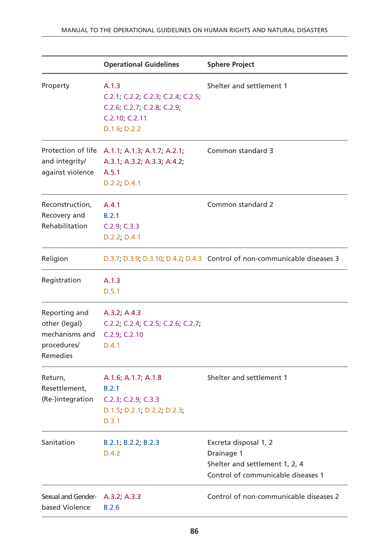|                                                                             | <b>Operational Guidelines</b>                                                                                | <b>Sphere Project</b>                                                                                       |
|-----------------------------------------------------------------------------|--------------------------------------------------------------------------------------------------------------|-------------------------------------------------------------------------------------------------------------|
| Property                                                                    | A.1.3<br>C.2.1; C.2.2; C.2.3; C.2.4; C.2.5;<br>C.2.6; C.2.7; C.2.8; C.2.9;<br>C.2.10, C.2.11<br>D.1.6; D.2.2 | Shelter and settlement 1                                                                                    |
| and integrity/<br>against violence                                          | Protection of life A.1.1; A.1.3; A.1.7; A.2.1;<br>A.3.1; A.3.2; A.3.3; A.4.2;<br>A.5.1<br>D.2.2, D.4.1       | Common standard 3                                                                                           |
| Reconstruction,<br>Recovery and<br>Rehabilitation                           | A.4.1<br>B.2.1<br>C.2.9; C.3.3<br>D.2.2, D.4.1                                                               | Common standard 2                                                                                           |
| Religion                                                                    |                                                                                                              | D.3.7; D.3.9; D.3.10; D.4.2; D.4.3 Control of non-communicable diseases 3                                   |
| Registration                                                                | A.1.3<br>D.5.1                                                                                               |                                                                                                             |
| Reporting and<br>other (legal)<br>mechanisms and<br>procedures/<br>Remedies | A.3.2; A.4.3<br>C.2.2; C.2.4; C.2.5; C.2.6; C.2.7;<br>C.2.9; C.2.10<br>D.4.1                                 |                                                                                                             |
| Return,<br>Resettlement,                                                    | A.1.6; A.1.7; A.1.8<br>B.2.1<br>(Re-)integration C.2.3; C.2.9; C.3.3<br>D.1.5; D.2.1; D.2.2; D.2.3;<br>D.3.1 | Shelter and settlement 1                                                                                    |
| Sanitation                                                                  | B.2.1; B.2.2; B.2.3<br>D.4.2                                                                                 | Excreta disposal 1, 2<br>Drainage 1<br>Shelter and settlement 1, 2, 4<br>Control of communicable diseases 1 |
| Sexual and Gender-<br>based Violence                                        | A.3.2; A.3.3<br><b>B.2.6</b>                                                                                 | Control of non-communicable diseases 2                                                                      |